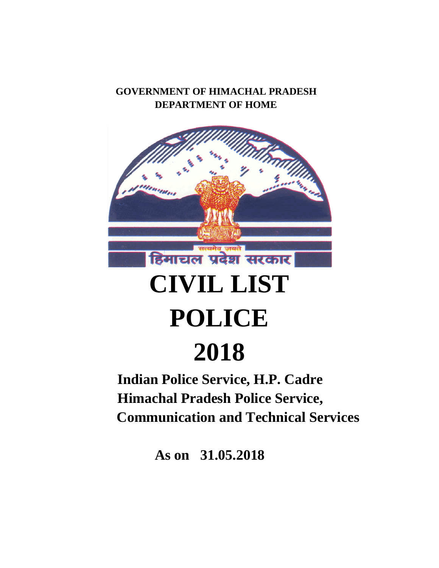## **GOVERNMENT OF HIMACHAL PRADESH DEPARTMENT OF HOME**



# **CIVIL LIST POLICE**

# **2018**

 **Indian Police Service, H.P. Cadre Himachal Pradesh Police Service, Communication and Technical Services**

**As on 31.05.2018**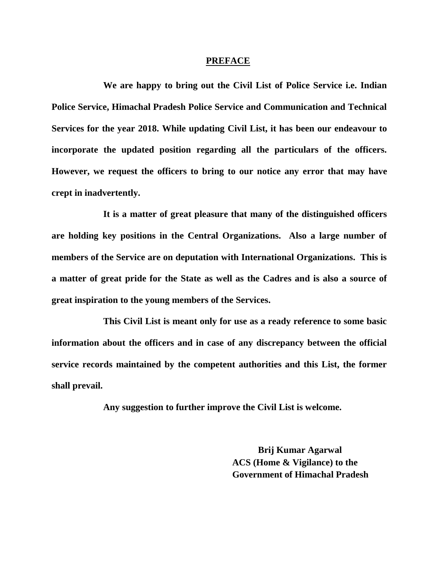#### **PREFACE**

**We are happy to bring out the Civil List of Police Service i.e. Indian Police Service, Himachal Pradesh Police Service and Communication and Technical Services for the year 2018. While updating Civil List, it has been our endeavour to incorporate the updated position regarding all the particulars of the officers. However, we request the officers to bring to our notice any error that may have crept in inadvertently.** 

**It is a matter of great pleasure that many of the distinguished officers are holding key positions in the Central Organizations. Also a large number of members of the Service are on deputation with International Organizations. This is a matter of great pride for the State as well as the Cadres and is also a source of great inspiration to the young members of the Services.**

**This Civil List is meant only for use as a ready reference to some basic information about the officers and in case of any discrepancy between the official service records maintained by the competent authorities and this List, the former shall prevail.** 

**Any suggestion to further improve the Civil List is welcome.** 

**Brij Kumar Agarwal ACS (Home & Vigilance) to the Government of Himachal Pradesh**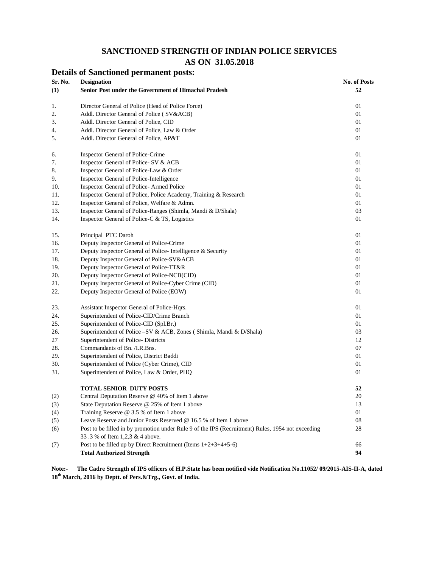#### **SANCTIONED STRENGTH OF INDIAN POLICE SERVICES AS ON 31.05.2018**

|         | <b>Details of Sanctioned permanent posts:</b>                                                     |                     |
|---------|---------------------------------------------------------------------------------------------------|---------------------|
| Sr. No. | <b>Designation</b>                                                                                | <b>No. of Posts</b> |
| (1)     | Senior Post under the Government of Himachal Pradesh                                              | 52                  |
| 1.      | Director General of Police (Head of Police Force)                                                 | 01                  |
| 2.      | Addl. Director General of Police (SV&ACB)                                                         | 01                  |
| 3.      | Addl. Director General of Police, CID                                                             | 01                  |
| 4.      | Addl. Director General of Police, Law & Order                                                     | 01                  |
| 5.      | Addl. Director General of Police, AP&T                                                            | 01                  |
| 6.      | Inspector General of Police-Crime                                                                 | 01                  |
| 7.      | Inspector General of Police- SV & ACB                                                             | 01                  |
| 8.      | Inspector General of Police-Law & Order                                                           | 01                  |
| 9.      | Inspector General of Police-Intelligence                                                          | 01                  |
| 10.     | Inspector General of Police-Armed Police                                                          | 01                  |
| 11.     | Inspector General of Police, Police Academy, Training & Research                                  | 01                  |
| 12.     | Inspector General of Police, Welfare & Admn.                                                      | 01                  |
| 13.     | Inspector General of Police-Ranges (Shimla, Mandi & D/Shala)                                      | 03                  |
| 14.     | Inspector General of Police-C & TS, Logistics                                                     | 01                  |
| 15.     | Principal PTC Daroh                                                                               | 01                  |
| 16.     | Deputy Inspector General of Police-Crime                                                          | 01                  |
| 17.     | Deputy Inspector General of Police-Intelligence & Security                                        | 01                  |
| 18.     | Deputy Inspector General of Police-SV&ACB                                                         | 01                  |
| 19.     | Deputy Inspector General of Police-TT&R                                                           | 01                  |
| 20.     | Deputy Inspector General of Police-NCB(CID)                                                       | 01                  |
| 21.     | Deputy Inspector General of Police-Cyber Crime (CID)                                              | 01                  |
| 22.     | Deputy Inspector General of Police (EOW)                                                          | 01                  |
| 23.     | Assistant Inspector General of Police-Hqrs.                                                       | 01                  |
| 24.     | Superintendent of Police-CID/Crime Branch                                                         | 01                  |
| 25.     | Superintendent of Police-CID (Spl.Br.)                                                            | 01                  |
| 26.     | Superintendent of Police – SV & ACB, Zones (Shimla, Mandi & D/Shala)                              | 03                  |
| 27      | Superintendent of Police-Districts                                                                | 12                  |
| 28.     | Commandants of Bn. /I.R.Bns.                                                                      | 07                  |
| 29.     | Superintendent of Police, District Baddi                                                          | 01                  |
| 30.     | Superintendent of Police (Cyber Crime), CID                                                       | 01                  |
| 31.     | Superintendent of Police, Law & Order, PHQ                                                        | 01                  |
|         | TOTAL SENIOR DUTY POSTS                                                                           | 52                  |
| (2)     | Central Deputation Reserve @ 40% of Item 1 above                                                  | 20                  |
| (3)     | State Deputation Reserve @ 25% of Item 1 above                                                    | 13                  |
| (4)     | Training Reserve @ 3.5 % of Item 1 above                                                          | 01                  |
| (5)     | Leave Reserve and Junior Posts Reserved @ 16.5 % of Item 1 above                                  | 08                  |
| (6)     | Post to be filled in by promotion under Rule 9 of the IPS (Recruitment) Rules, 1954 not exceeding | 28                  |
|         | 33.3 % of Item 1,2,3 & 4 above.                                                                   |                     |
| (7)     | Post to be filled up by Direct Recruitment (Items $1+2+3+4+5-6$ )                                 | 66                  |
|         | <b>Total Authorized Strength</b>                                                                  | 94                  |

**Note:- The Cadre Strength of IPS officers of H.P.State has been notified vide Notification No.11052/ 09/2015-AIS-II-A, dated 18 th March, 2016 by Deptt. of Pers.&Trg., Govt. of India.**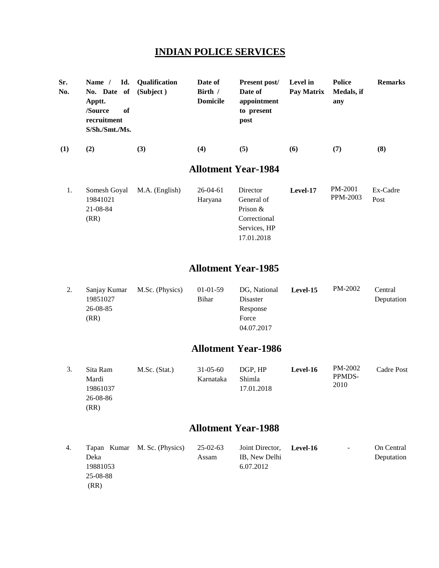## **INDIAN POLICE SERVICES**

| Sr.<br>No. | Name $/$<br>No. Date of<br>Apptt.<br>of<br>/Source<br>recruitment<br>S/Sh./Smt./Ms. | Id. Oualification<br>(Subject) | Date of<br>Birth /<br><b>Domicile</b> | <b>Present post/</b><br>Date of<br>appointment<br>to present<br>post | Level in<br>Pay Matrix | Police<br>Medals, if<br>any | <b>Remarks</b> |
|------------|-------------------------------------------------------------------------------------|--------------------------------|---------------------------------------|----------------------------------------------------------------------|------------------------|-----------------------------|----------------|
| (1)        | (2)                                                                                 | (3)                            | (4)                                   | (5)                                                                  | (6)                    | (7)                         | (8)            |
|            |                                                                                     |                                |                                       | <b>Allotment Year-1984</b>                                           |                        |                             |                |

|  |          | Somesh Goyal M.A. (English) | $26-04-61$ | Director     | Level-17 | PM-2001  | Ex-Cadre |
|--|----------|-----------------------------|------------|--------------|----------|----------|----------|
|  | 19841021 |                             | Haryana    | General of   |          | PPM-2003 | Post     |
|  | 21-08-84 |                             |            | Prison $&$   |          |          |          |
|  | (RR)     |                             |            | Correctional |          |          |          |
|  |          |                             |            | Services, HP |          |          |          |
|  |          |                             |            | 17.01.2018   |          |          |          |

### **Allotment Year-1985**

| <u>.</u> | Sanjay Kumar | M.Sc. (Physics) | $01-01-59$ | DG, National | Level-15 | PM-2002 | Central    |
|----------|--------------|-----------------|------------|--------------|----------|---------|------------|
|          | 19851027     |                 | Bihar      | Disaster     |          |         | Deputation |
|          | 26-08-85     |                 |            | Response     |          |         |            |
|          | (RR)         |                 |            | Force        |          |         |            |
|          |              |                 |            | 04.07.2017   |          |         |            |

#### **Allotment Year-1986**

| Sita Ram<br>Mardi<br>19861037 | M.Sc. (Stat.) | $31 - 05 - 60$<br>Karnataka | DGP. HP<br>Shimla<br>17.01.2018 | <b>Level-16</b> | PM-2002<br>PPMDS-<br>2010 | Cadre Post |
|-------------------------------|---------------|-----------------------------|---------------------------------|-----------------|---------------------------|------------|
| 26-08-86                      |               |                             |                                 |                 |                           |            |
| (RR)                          |               |                             |                                 |                 |                           |            |

| 4. |          | Tapan Kumar M. Sc. (Physics) | 25-02-63 | Joint Director, Level-16 | $\overline{\phantom{0}}$ | On Central |
|----|----------|------------------------------|----------|--------------------------|--------------------------|------------|
|    | Deka     |                              | Assam    | IB, New Delhi            |                          | Deputation |
|    | 19881053 |                              |          | 6.07.2012                |                          |            |
|    | 25-08-88 |                              |          |                          |                          |            |
|    | (RR)     |                              |          |                          |                          |            |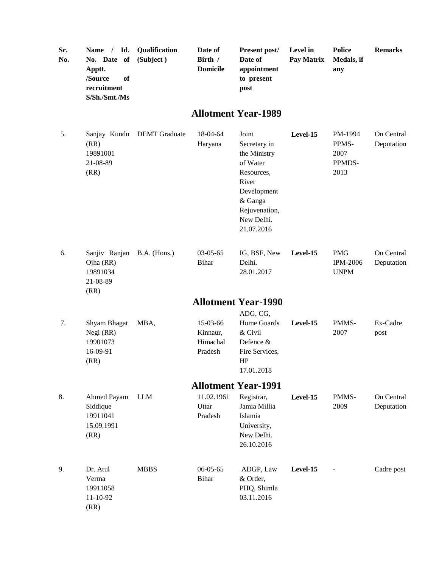| Sr.<br>No. | Name / Id.<br>No. Date of<br>Apptt.<br>/Source<br>of<br>recruitment<br>S/Sh./Smt./Ms | Qualification<br>(Subject) | Date of<br>Birth /<br><b>Domicile</b>       | Present post/<br>Date of<br>appointment<br>to present<br>post                                                                                   | Level in<br>Pay Matrix | <b>Police</b><br>Medals, if<br>any           | <b>Remarks</b>           |
|------------|--------------------------------------------------------------------------------------|----------------------------|---------------------------------------------|-------------------------------------------------------------------------------------------------------------------------------------------------|------------------------|----------------------------------------------|--------------------------|
|            |                                                                                      |                            |                                             | <b>Allotment Year-1989</b>                                                                                                                      |                        |                                              |                          |
| 5.         | Sanjay Kundu<br>(RR)<br>19891001<br>21-08-89<br>(RR)                                 | <b>DEMT</b> Graduate       | 18-04-64<br>Haryana                         | Joint<br>Secretary in<br>the Ministry<br>of Water<br>Resources,<br>River<br>Development<br>& Ganga<br>Rejuvenation,<br>New Delhi.<br>21.07.2016 | Level-15               | PM-1994<br>PPMS-<br>2007<br>PPMDS-<br>2013   | On Central<br>Deputation |
| 6.         | Sanjiv Ranjan<br>Ojha (RR)<br>19891034<br>21-08-89<br>(RR)                           | B.A. (Hons.)               | $03-05-65$<br><b>Bihar</b>                  | IG, BSF, New<br>Delhi.<br>28.01.2017                                                                                                            | Level-15               | <b>PMG</b><br><b>IPM-2006</b><br><b>UNPM</b> | On Central<br>Deputation |
|            |                                                                                      |                            |                                             | <b>Allotment Year-1990</b>                                                                                                                      |                        |                                              |                          |
| 7.         | Shyam Bhagat<br>Negi (RR)<br>19901073<br>16-09-91<br>(RR)                            | MBA,                       | 15-03-66<br>Kinnaur,<br>Himachal<br>Pradesh | ADG, CG,<br>Home Guards<br>& Civil<br>Defence &<br>Fire Services,<br>HP<br>17.01.2018                                                           | Level-15               | PMMS-<br>2007                                | Ex-Cadre<br>post         |
|            |                                                                                      |                            |                                             | <b>Allotment Year-1991</b>                                                                                                                      |                        |                                              |                          |
| 8.         | Ahmed Payam<br>Siddique<br>19911041<br>15.09.1991<br>(RR)                            | <b>LLM</b>                 | 11.02.1961<br>Uttar<br>Pradesh              | Registrar,<br>Jamia Millia<br>Islamia<br>University,<br>New Delhi.<br>26.10.2016                                                                | Level-15               | PMMS-<br>2009                                | On Central<br>Deputation |
| 9.         | Dr. Atul<br>Verma<br>19911058<br>11-10-92<br>(RR)                                    | <b>MBBS</b>                | $06 - 05 - 65$<br><b>Bihar</b>              | ADGP, Law<br>& Order,<br>PHQ, Shimla<br>03.11.2016                                                                                              | Level-15               |                                              | Cadre post               |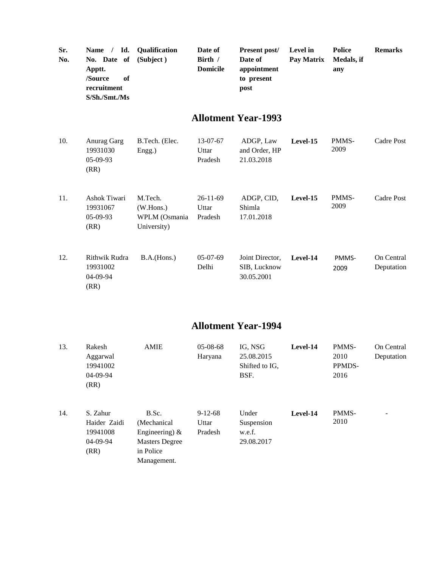| Sr.<br>No. | Id.<br>$\sqrt{2}$<br><b>Name</b><br>No. Date of<br>Apptt.<br>/Source<br>of<br>recruitment<br>S/Sh./Smt./Ms | Qualification<br>(Subject)                           | Date of<br>Birth /<br><b>Domicile</b> | Present post/<br>Date of<br>appointment<br>to present<br>post | Level in<br>Pay Matrix | <b>Police</b><br>Medals, if<br>any | <b>Remarks</b>           |
|------------|------------------------------------------------------------------------------------------------------------|------------------------------------------------------|---------------------------------------|---------------------------------------------------------------|------------------------|------------------------------------|--------------------------|
|            |                                                                                                            |                                                      |                                       | <b>Allotment Year-1993</b>                                    |                        |                                    |                          |
| 10.        | Anurag Garg<br>19931030<br>$05-09-93$<br>(RR)                                                              | B.Tech. (Elec.<br>Engg.)                             | 13-07-67<br>Uttar<br>Pradesh          | ADGP, Law<br>and Order, HP<br>21.03.2018                      | Level-15               | PMMS-<br>2009                      | Cadre Post               |
| 11.        | Ashok Tiwari<br>19931067<br>$05-09-93$<br>(RR)                                                             | M.Tech.<br>(W.Hons.)<br>WPLM (Osmania<br>University) | $26-11-69$<br>Uttar<br>Pradesh        | ADGP, CID,<br>Shimla<br>17.01.2018                            | Level-15               | PMMS-<br>2009                      | Cadre Post               |
| 12.        | Rithwik Rudra<br>19931002<br>04-09-94<br>(RR)                                                              | B.A.(Hons.)                                          | $05-07-69$<br>Delhi                   | Joint Director,<br>SIB, Lucknow<br>30.05.2001                 | Level-14               | PMMS-<br>2009                      | On Central<br>Deputation |

| 13. | Rakesh<br>Aggarwal<br>19941002<br>04-09-94<br>(RR)       | <b>AMIE</b>                                                                                     | $05-08-68$<br>Haryana         | IG, NSG<br>25.08.2015<br>Shifted to IG,<br>BSF. | Level-14 | PMMS-<br>2010<br>PPMDS-<br>2016 | On Central<br>Deputation |
|-----|----------------------------------------------------------|-------------------------------------------------------------------------------------------------|-------------------------------|-------------------------------------------------|----------|---------------------------------|--------------------------|
| 14. | S. Zahur<br>Haider Zaidi<br>19941008<br>04-09-94<br>(RR) | B.Sc.<br>(Mechanical)<br>Engineering) $\&$<br><b>Masters Degree</b><br>in Police<br>Management. | $9-12-68$<br>Uttar<br>Pradesh | Under<br>Suspension<br>w.e.f.<br>29.08.2017     | Level-14 | PMMS-<br>2010                   | $\overline{\phantom{0}}$ |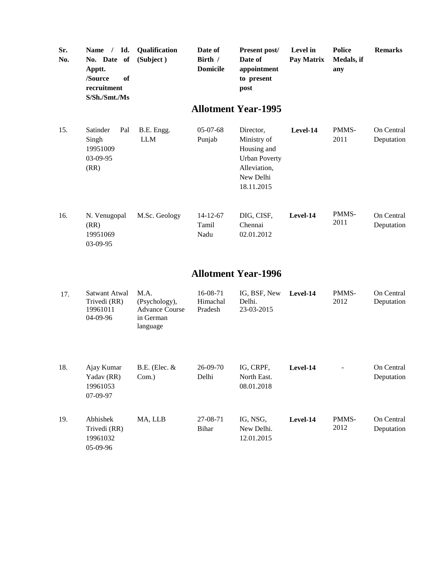| Sr.<br>No. | Name / Id.<br>No. Date<br>of<br>Apptt.<br>/Source<br>of<br>recruitment<br>S/Sh./Smt./Ms | Qualification<br>(Subject)                                              | Date of<br>Birth /<br><b>Domicile</b> | Present post/<br>Date of<br>appointment<br>to present<br>post                                              | Level in<br>Pay Matrix | <b>Police</b><br>Medals, if<br>any | <b>Remarks</b>           |
|------------|-----------------------------------------------------------------------------------------|-------------------------------------------------------------------------|---------------------------------------|------------------------------------------------------------------------------------------------------------|------------------------|------------------------------------|--------------------------|
|            |                                                                                         |                                                                         |                                       | <b>Allotment Year-1995</b>                                                                                 |                        |                                    |                          |
| 15.        | Satinder<br>Pal<br>Singh<br>19951009<br>03-09-95<br>(RR)                                | B.E. Engg.<br><b>LLM</b>                                                | $05-07-68$<br>Punjab                  | Director,<br>Ministry of<br>Housing and<br><b>Urban Poverty</b><br>Alleviation,<br>New Delhi<br>18.11.2015 | Level-14               | PMMS-<br>2011                      | On Central<br>Deputation |
| 16.        | N. Venugopal<br>(RR)<br>19951069<br>03-09-95                                            | M.Sc. Geology                                                           | $14 - 12 - 67$<br>Tamil<br>Nadu       | DIG, CISF,<br>Chennai<br>02.01.2012                                                                        | Level-14               | PMMS-<br>2011                      | On Central<br>Deputation |
|            |                                                                                         |                                                                         |                                       | <b>Allotment Year-1996</b>                                                                                 |                        |                                    |                          |
| 17.        | Satwant Atwal<br>Trivedi (RR)<br>19961011<br>04-09-96                                   | M.A.<br>(Psychology),<br><b>Advance Course</b><br>in German<br>language | 16-08-71<br>Himachal<br>Pradesh       | IG, BSF, New<br>Delhi.<br>23-03-2015                                                                       | Level-14               | PMMS-<br>2012                      | On Central<br>Deputation |
| 18.        | Ajay Kumar<br>Yadav (RR)<br>19961053<br>07-09-97                                        | $B.E.$ (Elec. $&$<br>Com.)                                              | 26-09-70<br>Delhi                     | IG, CRPF,<br>North East.<br>08.01.2018                                                                     | Level-14               |                                    | On Central<br>Deputation |
| 19.        | Abhishek<br>Trivedi (RR)<br>19961032<br>05-09-96                                        | MA, LLB                                                                 | 27-08-71<br>Bihar                     | IG, NSG,<br>New Delhi.<br>12.01.2015                                                                       | Level-14               | PMMS-<br>2012                      | On Central<br>Deputation |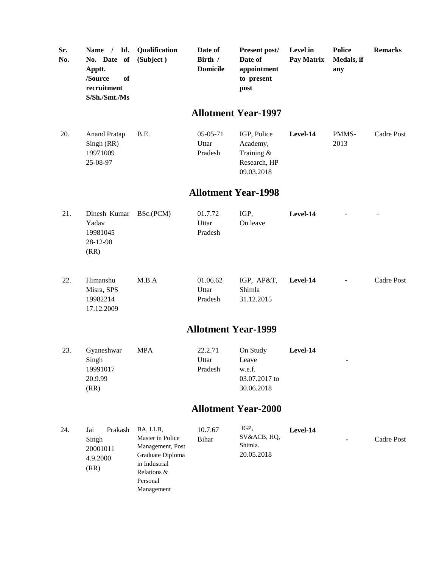| Sr.<br>No. | Name / Id.<br>No. Date of<br>Apptt.<br>/Source<br>of<br>recruitment<br>S/Sh./Smt./Ms | Qualification<br>(Subject)                                                                           | Date of<br>Birth /<br><b>Domicile</b> | Present post/<br>Date of<br>appointment<br>to present<br>post       | Level in<br>Pay Matrix | <b>Police</b><br>Medals, if<br>any | <b>Remarks</b> |
|------------|--------------------------------------------------------------------------------------|------------------------------------------------------------------------------------------------------|---------------------------------------|---------------------------------------------------------------------|------------------------|------------------------------------|----------------|
|            |                                                                                      |                                                                                                      |                                       | <b>Allotment Year-1997</b>                                          |                        |                                    |                |
| 20.        | <b>Anand Pratap</b><br>Singh (RR)<br>19971009<br>25-08-97                            | B.E.                                                                                                 | $05-05-71$<br>Uttar<br>Pradesh        | IGP, Police<br>Academy,<br>Training &<br>Research, HP<br>09.03.2018 | Level-14               | PMMS-<br>2013                      | Cadre Post     |
|            |                                                                                      |                                                                                                      |                                       | <b>Allotment Year-1998</b>                                          |                        |                                    |                |
| 21.        | Dinesh Kumar<br>Yadav<br>19981045<br>28-12-98<br>(RR)                                | BSc.(PCM)                                                                                            | 01.7.72<br>Uttar<br>Pradesh           | IGP,<br>On leave                                                    | Level-14               |                                    |                |
| 22.        | Himanshu<br>Misra, SPS<br>19982214<br>17.12.2009                                     | M.B.A                                                                                                | 01.06.62<br>Uttar<br>Pradesh          | IGP, AP&T,<br>Shimla<br>31.12.2015                                  | Level-14               |                                    | Cadre Post     |
|            |                                                                                      |                                                                                                      | <b>Allotment Year-1999</b>            |                                                                     |                        |                                    |                |
| 23.        | Gyaneshwar<br>Singh<br>19991017<br>20.9.99<br>(RR)                                   | <b>MPA</b>                                                                                           | 22.2.71<br>Uttar<br>Pradesh           | On Study<br>Leave<br>w.e.f.<br>03.07.2017 to<br>30.06.2018          | Level-14               | ۰                                  |                |
|            |                                                                                      |                                                                                                      |                                       | <b>Allotment Year-2000</b>                                          |                        |                                    |                |
| 24.        | Prakash<br>Jai<br>Singh<br>20001011<br>4.9.2000<br>(RR)                              | BA, LLB,<br>Master in Police<br>Management, Post<br>Graduate Diploma<br>in Industrial<br>Relations & | 10.7.67<br>Bihar                      | IGP,<br>SV&ACB, HQ,<br>Shimla.<br>20.05.2018                        | Level-14               |                                    | Cadre Post     |

Personal Management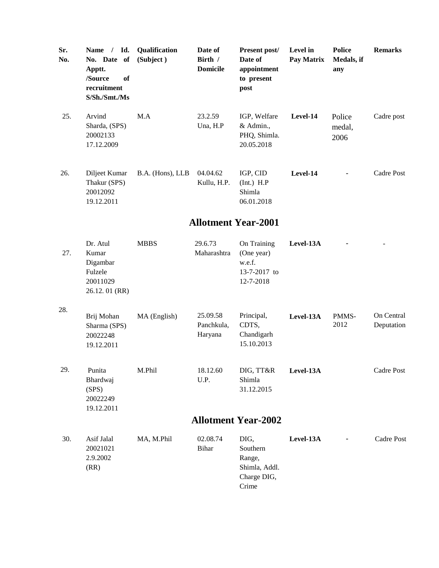| Sr.<br>No. | Name / Id.<br>No. Date of<br>Apptt.<br>/Source<br>of<br>recruitment<br>S/Sh./Smt./Ms | Qualification<br>(Subject) | Date of<br>Birth /<br><b>Domicile</b> | Present post/<br>Date of<br>appointment<br>to present<br>post       | Level in<br>Pay Matrix | <b>Police</b><br>Medals, if<br>any | <b>Remarks</b>           |  |  |  |
|------------|--------------------------------------------------------------------------------------|----------------------------|---------------------------------------|---------------------------------------------------------------------|------------------------|------------------------------------|--------------------------|--|--|--|
| 25.        | Arvind<br>Sharda, (SPS)<br>20002133<br>17.12.2009                                    | M.A                        | 23.2.59<br>Una, H.P                   | IGP, Welfare<br>& Admin.,<br>PHQ, Shimla.<br>20.05.2018             | Level-14               | Police<br>medal,<br>2006           | Cadre post               |  |  |  |
| 26.        | Diljeet Kumar<br>Thakur (SPS)<br>20012092<br>19.12.2011                              | B.A. (Hons), LLB           | 04.04.62<br>Kullu, H.P.               | IGP, CID<br>$(Int.)$ H.P<br>Shimla<br>06.01.2018                    | Level-14               |                                    | Cadre Post               |  |  |  |
|            | <b>Allotment Year-2001</b>                                                           |                            |                                       |                                                                     |                        |                                    |                          |  |  |  |
| 27.        | Dr. Atul<br>Kumar<br>Digambar<br>Fulzele<br>20011029<br>26.12.01 (RR)                | <b>MBBS</b>                | 29.6.73<br>Maharashtra                | On Training<br>(One year)<br>w.e.f.<br>13-7-2017 to<br>12-7-2018    | Level-13A              |                                    |                          |  |  |  |
| 28.        | Brij Mohan<br>Sharma (SPS)<br>20022248<br>19.12.2011                                 | MA (English)               | 25.09.58<br>Panchkula,<br>Haryana     | Principal,<br>CDTS,<br>Chandigarh<br>15.10.2013                     | Level-13A              | PMMS-<br>2012                      | On Central<br>Deputation |  |  |  |
| 29.        | Punita<br>Bhardwaj<br>(SPS)<br>20022249<br>19.12.2011                                | M.Phil                     | 18.12.60<br>U.P.                      | DIG, TT&R<br>Shimla<br>31.12.2015                                   | Level-13A              |                                    | Cadre Post               |  |  |  |
|            |                                                                                      |                            |                                       | <b>Allotment Year-2002</b>                                          |                        |                                    |                          |  |  |  |
| 30.        | Asif Jalal<br>20021021<br>2.9.2002<br>(RR)                                           | MA, M.Phil                 | 02.08.74<br>Bihar                     | DIG,<br>Southern<br>Range,<br>Shimla, Addl.<br>Charge DIG,<br>Crime | Level-13A              |                                    | Cadre Post               |  |  |  |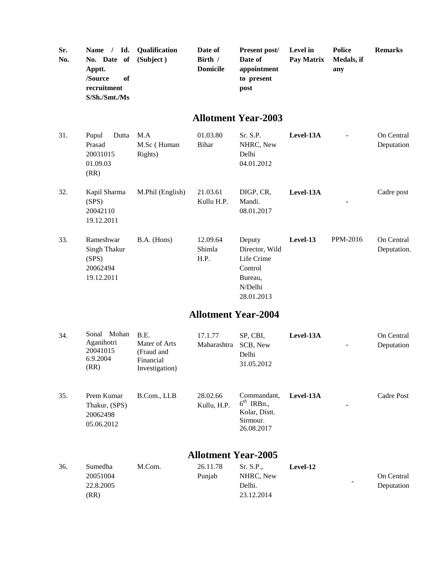| Sr.<br>No. | Id.<br>Name $/$<br>No. Date of<br>Apptt.<br>/Source<br>of<br>recruitment<br>S/Sh./Smt./Ms | Qualification<br>(Subject)                                         | Date of<br>Birth /<br><b>Domicile</b> | Present post/<br>Date of<br>appointment<br>to present<br>post                         | Level in<br>Pay Matrix | <b>Police</b><br>Medals, if<br>any | <b>Remarks</b>            |
|------------|-------------------------------------------------------------------------------------------|--------------------------------------------------------------------|---------------------------------------|---------------------------------------------------------------------------------------|------------------------|------------------------------------|---------------------------|
|            |                                                                                           |                                                                    |                                       | <b>Allotment Year-2003</b>                                                            |                        |                                    |                           |
| 31.        | Pupul<br>Dutta<br>Prasad<br>20031015<br>01.09.03<br>(RR)                                  | M.A<br>M.Sc (Human<br>Rights)                                      | 01.03.80<br><b>Bihar</b>              | Sr. S.P.<br>NHRC, New<br>Delhi<br>04.01.2012                                          | Level-13A              |                                    | On Central<br>Deputation  |
| 32.        | Kapil Sharma<br>(SPS)<br>20042110<br>19.12.2011                                           | M.Phil (English)                                                   | 21.03.61<br>Kullu H.P.                | DIGP, CR,<br>Mandi.<br>08.01.2017                                                     | Level-13A              |                                    | Cadre post                |
| 33.        | Rameshwar<br><b>Singh Thakur</b><br>(SPS)<br>20062494<br>19.12.2011                       | B.A. (Hons)                                                        | 12.09.64<br>Shimla<br>H.P.            | Deputy<br>Director, Wild<br>Life Crime<br>Control<br>Bureau,<br>N/Delhi<br>28.01.2013 | Level-13               | PPM-2016                           | On Central<br>Deputation. |
|            |                                                                                           |                                                                    | <b>Allotment Year-2004</b>            |                                                                                       |                        |                                    |                           |
| 34.        | Sonal Mohan<br>Aganihotri<br>20041015<br>6.9.2004<br>(RR)                                 | B.E.<br>Mater of Arts<br>(Fraud and<br>Financial<br>Investigation) | 17.1.77<br>Maharashtra                | SP, CBI,<br>SCB, New<br>Delhi<br>31.05.2012                                           | Level-13A              |                                    | On Central<br>Deputation  |
| 35.        | Prem Kumar<br>Thakur, (SPS)<br>20062498<br>05.06.2012                                     | B.Com., LLB                                                        | 28.02.66<br>Kullu, H.P.               | Commandant,<br>$6th$ IRBn.,<br>Kolar, Distt.<br>Sirmour.<br>26.08.2017                | Level-13A              |                                    | Cadre Post                |
|            |                                                                                           |                                                                    | <b>Allotment Year-2005</b>            |                                                                                       |                        |                                    |                           |
| 36.        | Sumedha<br>20051004<br>22.8.2005<br>(RR)                                                  | M.Com.                                                             | 26.11.78<br>Punjab                    | Sr. S.P.,<br>NHRC, New<br>Delhi.<br>23.12.2014                                        | Level-12               |                                    | On Central<br>Deputation  |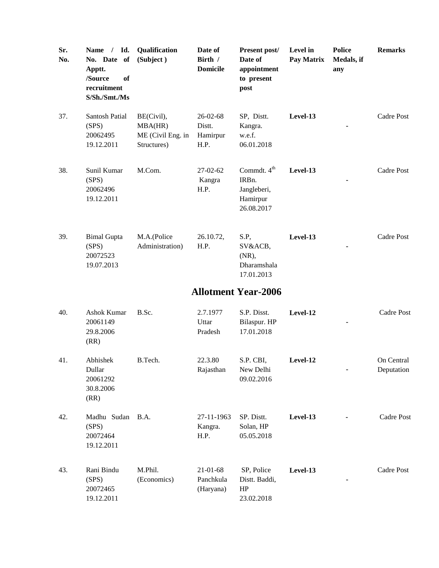| Sr.<br>No. | Name / Id.<br>No. Date of<br>Apptt.<br>/Source<br>of<br>recruitment<br>S/Sh./Smt./Ms | Qualification<br>(Subject)                                | Date of<br>Birth /<br><b>Domicile</b>        | Present post/<br>Date of<br>appointment<br>to present<br>post             | Level in<br>Pay Matrix | <b>Police</b><br>Medals, if<br>any | <b>Remarks</b>           |
|------------|--------------------------------------------------------------------------------------|-----------------------------------------------------------|----------------------------------------------|---------------------------------------------------------------------------|------------------------|------------------------------------|--------------------------|
| 37.        | Santosh Patial<br>(SPS)<br>20062495<br>19.12.2011                                    | BE(Civil),<br>MBA(HR)<br>ME (Civil Eng. in<br>Structures) | $26 - 02 - 68$<br>Distt.<br>Hamirpur<br>H.P. | SP, Distt.<br>Kangra.<br>w.e.f.<br>06.01.2018                             | Level-13               |                                    | Cadre Post               |
| 38.        | Sunil Kumar<br>(SPS)<br>20062496<br>19.12.2011                                       | M.Com.                                                    | $27-02-62$<br>Kangra<br>H.P.                 | Commdt. 4 <sup>th</sup><br>IRBn.<br>Jangleberi,<br>Hamirpur<br>26.08.2017 | Level-13               |                                    | Cadre Post               |
| 39.        | <b>Bimal Gupta</b><br>(SPS)<br>20072523<br>19.07.2013                                | M.A.(Police<br>Administration)                            | 26.10.72,<br>H.P.                            | S.P,<br>SV&ACB,<br>(NR),<br>Dharamshala<br>17.01.2013                     | Level-13               |                                    | Cadre Post               |
|            |                                                                                      |                                                           |                                              | <b>Allotment Year-2006</b>                                                |                        |                                    |                          |
| 40.        | Ashok Kumar<br>20061149<br>29.8.2006<br>(RR)                                         | B.Sc.                                                     | 2.7.1977<br>Uttar<br>Pradesh                 | S.P. Disst.<br>Bilaspur. HP<br>17.01.2018                                 | Level-12               |                                    | <b>Cadre Post</b>        |
| 41.        | Abhishek<br>Dullar<br>20061292<br>30.8.2006<br>(RR)                                  | B.Tech.                                                   | 22.3.80<br>Rajasthan                         | S.P. CBI,<br>New Delhi<br>09.02.2016                                      | Level-12               |                                    | On Central<br>Deputation |
| 42.        | Madhu Sudan B.A.<br>(SPS)<br>20072464<br>19.12.2011                                  |                                                           | 27-11-1963<br>Kangra.<br>H.P.                | SP. Distt.<br>Solan, HP<br>05.05.2018                                     | Level-13               |                                    | <b>Cadre Post</b>        |
| 43.        | Rani Bindu<br>(SPS)<br>20072465<br>19.12.2011                                        | M.Phil.<br>(Economics)                                    | 21-01-68<br>Panchkula<br>(Haryana)           | SP, Police<br>Distt. Baddi,<br>HP<br>23.02.2018                           | Level-13               |                                    | Cadre Post               |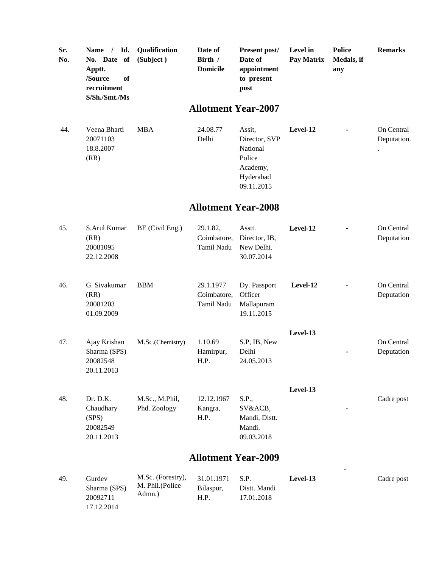| Sr. | Name / Id. Qualification                                               |           | Date of                    | <b>Present post/</b>                         | <b>Level</b> in | Police            | <b>Remarks</b> |  |  |
|-----|------------------------------------------------------------------------|-----------|----------------------------|----------------------------------------------|-----------------|-------------------|----------------|--|--|
| No. | No. Date of<br>Apptt.<br>/Source<br>of<br>recruitment<br>S/Sh./Smt./Ms | (Subject) | Birth /<br><b>Domicile</b> | Date of<br>appointment<br>to present<br>post | Pay Matrix      | Medals, if<br>any |                |  |  |
|     | <b>Allotment Year-2007</b>                                             |           |                            |                                              |                 |                   |                |  |  |

Delhi

44. Veena Bharti 20071103 18.8.2007 (RR) MBA 24.08.77

> Sharma (SPS) 20092711 17.12.2014

M. Phil.(Police Admn.)

Bilaspur, H.P.

Distt. Mandi 17.01.2018

Assit, Director, SVP National Police Academy, Hyderabad 09.11.2015 **Level-12 -** On Central

Deputation.

.

| 45. | S.Arul Kumar<br>(RR)<br>20081095<br>22.12.2008           | BE (Civil Eng.)                | 29.1.82,<br>Coimbatore.<br>Tamil Nadu  | Asstt.<br>Director, IB,<br>New Delhi.<br>30.07.2014       | Level-12 | On Central<br>Deputation |
|-----|----------------------------------------------------------|--------------------------------|----------------------------------------|-----------------------------------------------------------|----------|--------------------------|
| 46. | G. Sivakumar<br>(RR)<br>20081203<br>01.09.2009           | <b>BBM</b>                     | 29.1.1977<br>Coimbatore,<br>Tamil Nadu | Dy. Passport<br>Officer<br>Mallapuram<br>19.11.2015       | Level-12 | On Central<br>Deputation |
| 47. | Ajay Krishan<br>Sharma (SPS)<br>20082548<br>20.11.2013   | M.Sc.(Chemistry)               | 1.10.69<br>Hamirpur,<br>H.P.           | S.P, IB, New<br>Delhi<br>24.05.2013                       | Level-13 | On Central<br>Deputation |
| 48. | Dr. D.K.<br>Chaudhary<br>(SPS)<br>20082549<br>20.11.2013 | M.Sc., M.Phil,<br>Phd. Zoology | 12.12.1967<br>Kangra,<br>H.P.          | S.P.,<br>SV&ACB,<br>Mandi, Distt.<br>Mandi.<br>09.03.2018 | Level-13 | Cadre post               |
|     |                                                          |                                |                                        | <b>Allotment Year-2009</b>                                |          |                          |
| 49. | Gurdev                                                   | M.Sc. (Forestry),              | 31.01.1971                             | S.P.                                                      | Level-13 | Cadre post               |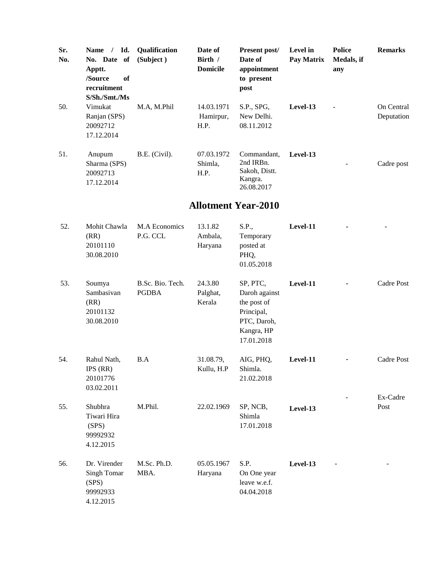| Sr.<br>No. | Id.<br><b>Name</b><br>No. Date of<br>Apptt.<br>of<br>/Source<br>recruitment<br>S/Sh./Smt./Ms | <b>Oualification</b><br>(Subject) | Date of<br>Birth /<br><b>Domicile</b> | Present post/<br>Date of<br>appointment<br>to present<br>post      | Level in<br>Pay Matrix | <b>Police</b><br>Medals, if<br>any | <b>Remarks</b>           |
|------------|----------------------------------------------------------------------------------------------|-----------------------------------|---------------------------------------|--------------------------------------------------------------------|------------------------|------------------------------------|--------------------------|
| 50.        | Vimukat<br>Ranjan (SPS)<br>20092712<br>17.12.2014                                            | M.A, M.Phil                       | 14.03.1971<br>Hamirpur,<br>H.P.       | S.P., SPG,<br>New Delhi.<br>08.11.2012                             | Level-13               | $\overline{a}$                     | On Central<br>Deputation |
| 51.        | Anupum<br>Sharma (SPS)<br>20092713<br>17.12.2014                                             | B.E. (Civil).                     | 07.03.1972<br>Shimla.<br>H.P.         | Commandant,<br>2nd IRBn.<br>Sakoh, Distt.<br>Kangra.<br>26.08.2017 | Level-13               |                                    | Cadre post               |

| 52. | Mohit Chawla<br>(RR)<br>20101110<br>30.08.2010                | M.A Economics<br>P.G. CCL        | 13.1.82<br>Ambala,<br>Haryana | S.P.,<br>Temporary<br>posted at<br>PHQ,<br>01.05.2018                                             | Level-11 |                  |
|-----|---------------------------------------------------------------|----------------------------------|-------------------------------|---------------------------------------------------------------------------------------------------|----------|------------------|
| 53. | Soumya<br>Sambasivan<br>(RR)<br>20101132<br>30.08.2010        | B.Sc. Bio. Tech.<br><b>PGDBA</b> | 24.3.80<br>Palghat,<br>Kerala | SP, PTC,<br>Daroh against<br>the post of<br>Principal,<br>PTC, Daroh,<br>Kangra, HP<br>17.01.2018 | Level-11 | Cadre Post       |
| 54. | Rahul Nath,<br>IPS (RR)<br>20101776<br>03.02.2011             | B.A                              | 31.08.79,<br>Kullu, H.P       | AIG, PHQ,<br>Shimla.<br>21.02.2018                                                                | Level-11 | Cadre Post       |
| 55. | Shubhra<br>Tiwari Hira<br>(SPS)<br>99992932<br>4.12.2015      | M.Phil.                          | 22.02.1969                    | SP, NCB,<br>Shimla<br>17.01.2018                                                                  | Level-13 | Ex-Cadre<br>Post |
| 56. | Dr. Virender<br>Singh Tomar<br>(SPS)<br>99992933<br>4.12.2015 | M.Sc. Ph.D.<br>MBA.              | 05.05.1967<br>Haryana         | S.P.<br>On One year<br>leave w.e.f.<br>04.04.2018                                                 | Level-13 |                  |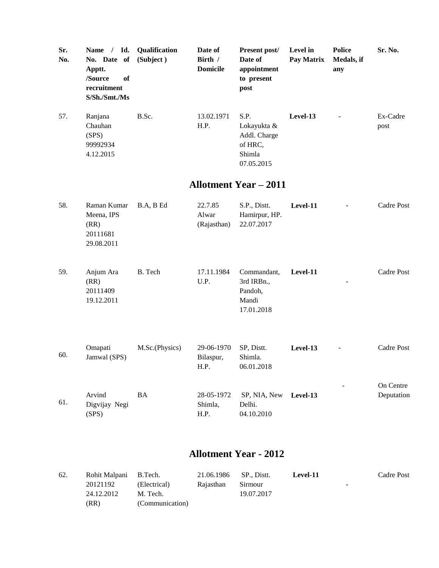| Sr.<br>No. | Name / Id.<br>No. Date of<br>Apptt.<br>/Source<br>of<br>recruitment<br>S/Sh./Smt./Ms | Qualification<br>(Subject) | Date of<br>Birth /<br><b>Domicile</b> | Present post/<br>Date of<br>appointment<br>to present<br>post          | Level in<br>Pay Matrix | <b>Police</b><br>Medals, if<br>any | Sr. No.                 |
|------------|--------------------------------------------------------------------------------------|----------------------------|---------------------------------------|------------------------------------------------------------------------|------------------------|------------------------------------|-------------------------|
| 57.        | Ranjana<br>Chauhan<br>(SPS)<br>99992934<br>4.12.2015                                 | B.Sc.                      | 13.02.1971<br>H.P.                    | S.P.<br>Lokayukta &<br>Addl. Charge<br>of HRC,<br>Shimla<br>07.05.2015 | Level-13               |                                    | Ex-Cadre<br>post        |
|            |                                                                                      |                            |                                       | <b>Allotment Year - 2011</b>                                           |                        |                                    |                         |
| 58.        | Raman Kumar<br>Meena, IPS<br>(RR)<br>20111681<br>29.08.2011                          | B.A, B Ed                  | 22.7.85<br>Alwar<br>(Rajasthan)       | S.P., Distt.<br>Hamirpur, HP.<br>22.07.2017                            | Level-11               |                                    | Cadre Post              |
| 59.        | Anjum Ara<br>(RR)<br>20111409<br>19.12.2011                                          | B. Tech                    | 17.11.1984<br>U.P.                    | Commandant,<br>3rd IRBn.,<br>Pandoh,<br>Mandi<br>17.01.2018            | Level-11               |                                    | Cadre Post              |
| 60.        | Omapati<br>Jamwal (SPS)                                                              | M.Sc.(Physics)             | 29-06-1970<br>Bilaspur,<br>H.P.       | SP, Distt.<br>Shimla.<br>06.01.2018                                    | Level-13               | $\overline{\phantom{a}}$           | Cadre Post              |
| 61.        | Arvind<br>Digvijay Negi<br>(SPS)                                                     | <b>BA</b>                  | 28-05-1972<br>Shimla,<br>H.P.         | SP, NIA, New<br>Delhi.<br>04.10.2010                                   | Level-13               |                                    | On Centre<br>Deputation |

| 62. | Rohit Malpani B.Tech. |                 | 21.06.1986 | SP., Distt. | Level-11 | Cadre Post |
|-----|-----------------------|-----------------|------------|-------------|----------|------------|
|     | 20121192              | (Electrical)    | Rajasthan  | Sirmour     |          |            |
|     | 24.12.2012            | M. Tech.        |            | 19.07.2017  |          |            |
|     | (RR)                  | (Communication) |            |             |          |            |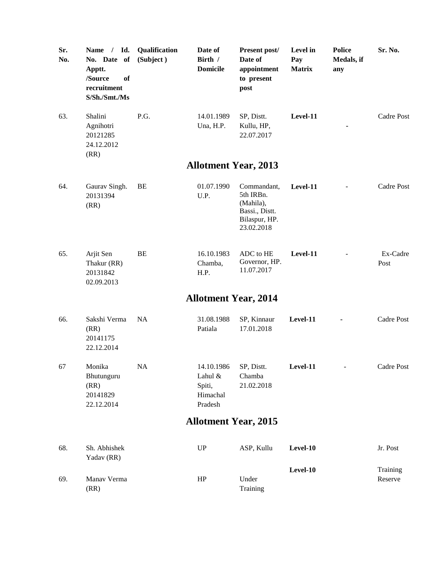| Sr.<br>No. | Name / Id.<br>No. Date of<br>Apptt.<br>/Source<br>of<br>recruitment<br>S/Sh./Smt./Ms | Qualification<br>(Subject) | Date of<br>Birth /<br><b>Domicile</b>                  | Present post/<br>Date of<br>appointment<br>to present<br>post                          | Level in<br>Pay<br><b>Matrix</b> | <b>Police</b><br>Medals, if<br>any | Sr. No.             |
|------------|--------------------------------------------------------------------------------------|----------------------------|--------------------------------------------------------|----------------------------------------------------------------------------------------|----------------------------------|------------------------------------|---------------------|
| 63.        | Shalini<br>Agnihotri<br>20121285<br>24.12.2012<br>(RR)                               | P.G.                       | 14.01.1989<br>Una, H.P.                                | SP, Distt.<br>Kullu, HP,<br>22.07.2017                                                 | Level-11                         |                                    | Cadre Post          |
|            |                                                                                      |                            |                                                        | <b>Allotment Year, 2013</b>                                                            |                                  |                                    |                     |
| 64.        | Gaurav Singh.<br>20131394<br>(RR)                                                    | BE                         | 01.07.1990<br>U.P.                                     | Commandant,<br>5th IRBn.<br>(Mahila),<br>Bassi., Distt.<br>Bilaspur, HP.<br>23.02.2018 | Level-11                         |                                    | Cadre Post          |
| 65.        | Arjit Sen<br>Thakur (RR)<br>20131842<br>02.09.2013                                   | <b>BE</b>                  | 16.10.1983<br>Chamba,<br>H.P.                          | ADC to HE<br>Governor, HP.<br>11.07.2017                                               | Level-11                         |                                    | Ex-Cadre<br>Post    |
|            |                                                                                      |                            | <b>Allotment Year, 2014</b>                            |                                                                                        |                                  |                                    |                     |
| 66.        | Sakshi Verma<br>(RR)<br>20141175<br>22.12.2014                                       | <b>NA</b>                  | 31.08.1988<br>Patiala                                  | SP, Kinnaur<br>17.01.2018                                                              | Level-11                         |                                    | Cadre Post          |
| 67         | Monika<br>Bhutunguru<br>(RR)<br>20141829<br>22.12.2014                               | <b>NA</b>                  | 14.10.1986<br>Lahul &<br>Spiti,<br>Himachal<br>Pradesh | SP, Distt.<br>Chamba<br>21.02.2018                                                     | Level-11                         |                                    | Cadre Post          |
|            |                                                                                      |                            | <b>Allotment Year, 2015</b>                            |                                                                                        |                                  |                                    |                     |
| 68.        | Sh. Abhishek<br>Yadav (RR)                                                           |                            | <b>UP</b>                                              | ASP, Kullu                                                                             | Level-10                         |                                    | Jr. Post            |
| 69.        | Manav Verma<br>(RR)                                                                  |                            | HP                                                     | Under<br>Training                                                                      | Level-10                         |                                    | Training<br>Reserve |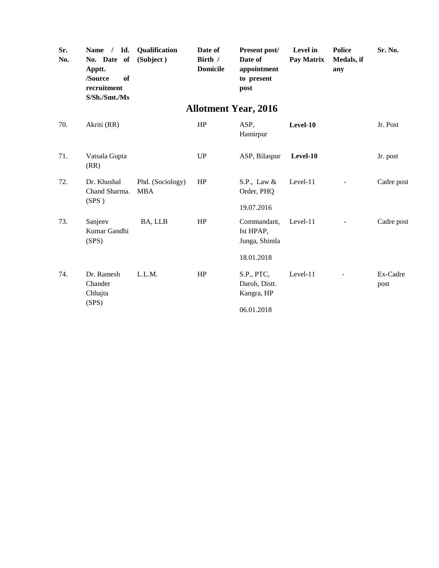| Sr.<br>No. | Id.<br>$\frac{1}{2}$<br><b>Name</b><br>No. Date of<br>Apptt.<br>of<br>/Source<br>recruitment<br>S/Sh./Smt./Ms | Qualification<br>(Subject)     | Date of<br>Birth /<br><b>Domicile</b> | Present post/<br>Date of<br>appointment<br>to present<br>post | Level in<br>Pay Matrix | <b>Police</b><br>Medals, if<br>any | Sr. No.          |
|------------|---------------------------------------------------------------------------------------------------------------|--------------------------------|---------------------------------------|---------------------------------------------------------------|------------------------|------------------------------------|------------------|
|            |                                                                                                               |                                |                                       | <b>Allotment Year, 2016</b>                                   |                        |                                    |                  |
| 70.        | Akriti (RR)                                                                                                   |                                | HP                                    | ASP,<br>Hamirpur                                              | Level-10               |                                    | Jr. Post         |
| 71.        | Vatsala Gupta<br>(RR)                                                                                         |                                | UP                                    | ASP, Bilaspur                                                 | Level-10               |                                    | Jr. post         |
| 72.        | Dr. Khushal<br>Chand Sharma.<br>(SPS)                                                                         | Phd. (Sociology)<br><b>MBA</b> | HP                                    | S.P., Law $&$<br>Order, PHQ<br>19.07.2016                     | Level-11               |                                    | Cadre post       |
| 73.        | Sanjeev<br>Kumar Gandhi<br>(SPS)                                                                              | BA, LLB                        | HP                                    | Commandant,<br>Ist HPAP,<br>Junga, Shimla                     | Level-11               |                                    | Cadre post       |
|            |                                                                                                               |                                |                                       | 18.01.2018                                                    |                        |                                    |                  |
| 74.        | Dr. Ramesh<br>Chander<br>Chhajta                                                                              | L.L.M.                         | HP                                    | S.P., PTC,<br>Daroh, Distt.<br>Kangra, HP                     | Level-11               |                                    | Ex-Cadre<br>post |
|            | (SPS)                                                                                                         |                                |                                       | 06.01.2018                                                    |                        |                                    |                  |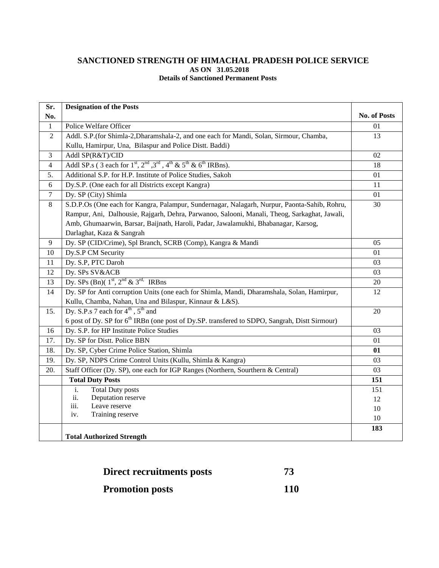#### **SANCTIONED STRENGTH OF HIMACHAL PRADESH POLICE SERVICE AS ON 31.05.2018 Details of Sanctioned Permanent Posts**

| Sr.            | <b>Designation of the Posts</b>                                                                           |              |
|----------------|-----------------------------------------------------------------------------------------------------------|--------------|
| No.            |                                                                                                           | No. of Posts |
| $\mathbf{1}$   | Police Welfare Officer                                                                                    | 01           |
| $\overline{2}$ | Addl. S.P.(for Shimla-2, Dharamshala-2, and one each for Mandi, Solan, Sirmour, Chamba,                   | 13           |
|                | Kullu, Hamirpur, Una, Bilaspur and Police Distt. Baddi)                                                   |              |
| 3              | Addl SP(R&T)/CID                                                                                          | 02           |
| $\overline{4}$ | Addl SP.s (3 each for $1st$ , $2nd$ , $3rd$ , $4th$ & $5th$ & $6th$ IRBns).                               | 18           |
| 5.             | Additional S.P. for H.P. Institute of Police Studies, Sakoh                                               | 01           |
| 6              | Dy.S.P. (One each for all Districts except Kangra)                                                        | 11           |
| $\tau$         | Dy. SP (City) Shimla                                                                                      | 01           |
| 8              | S.D.P.Os (One each for Kangra, Palampur, Sundernagar, Nalagarh, Nurpur, Paonta-Sahib, Rohru,              | 30           |
|                | Rampur, Ani, Dalhousie, Rajgarh, Dehra, Parwanoo, Salooni, Manali, Theog, Sarkaghat, Jawali,              |              |
|                | Amb, Ghumaarwin, Barsar, Baijnath, Haroli, Padar, Jawalamukhi, Bhabanagar, Karsog,                        |              |
|                | Darlaghat, Kaza & Sangrah                                                                                 |              |
| 9              | Dy. SP (CID/Crime), Spl Branch, SCRB (Comp), Kangra & Mandi                                               | 05           |
| 10             | Dy.S.P CM Security                                                                                        | 01           |
| 11             | Dy. S.P, PTC Daroh                                                                                        | 03           |
| 12             | Dy. SPs SV&ACB                                                                                            | 03           |
| 13             | Dy. SPs (Bn)( $1st$ , $2nd$ & $3rd$ . IRBns                                                               | 20           |
| 14             | Dy. SP for Anti corruption Units (one each for Shimla, Mandi, Dharamshala, Solan, Hamirpur,               | 12           |
|                | Kullu, Chamba, Nahan, Una and Bilaspur, Kinnaur & L&S).                                                   |              |
| 15.            | Dy. S.P.s 7 each for $4^{\text{th}}$ , $5^{\text{th}}$ and                                                | 20           |
|                | 6 post of Dy. SP for 6 <sup>th</sup> IRBn (one post of Dy.SP. transfered to SDPO, Sangrah, Distt Sirmour) |              |
| 16             | Dy. S.P. for HP Institute Police Studies                                                                  | 03           |
| 17.            | Dy. SP for Distt. Police BBN                                                                              | 01           |
| 18.            | Dy. SP, Cyber Crime Police Station, Shimla                                                                | 01           |
| 19.            | Dy. SP, NDPS Crime Control Units (Kullu, Shimla & Kangra)                                                 | 03           |
| 20.            | Staff Officer (Dy. SP), one each for IGP Ranges (Northern, Sourthern & Central)                           | 03           |
|                | <b>Total Duty Posts</b>                                                                                   | 151          |
|                | <b>Total Duty posts</b><br>i.                                                                             | 151          |
|                | ii.<br>Deputation reserve                                                                                 | 12           |
|                | iii.<br>Leave reserve                                                                                     | 10           |
|                | Training reserve<br>iv.                                                                                   | 10           |
|                |                                                                                                           | 183          |
|                | <b>Total Authorized Strength</b>                                                                          |              |

| Direct recruitments posts | 73         |
|---------------------------|------------|
| <b>Promotion posts</b>    | <b>110</b> |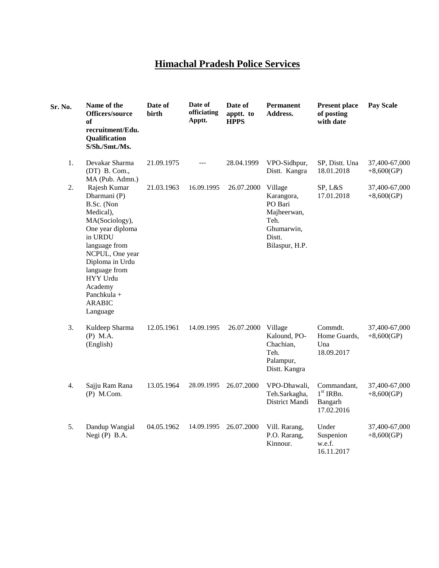## **Himachal Pradesh Police Services**

| Sr. No. | Name of the<br>Officers/source<br>of<br>recruitment/Edu.<br>Qualification<br>S/Sh./Smt./Ms.                                                                                                                                                                | Date of<br>birth | Date of<br>officiating<br>Apptt. | Date of<br>apptt. to<br><b>HPPS</b> | <b>Permanent</b><br>Address.                                                                      | <b>Present place</b><br>of posting<br>with date     | <b>Pay Scale</b>              |
|---------|------------------------------------------------------------------------------------------------------------------------------------------------------------------------------------------------------------------------------------------------------------|------------------|----------------------------------|-------------------------------------|---------------------------------------------------------------------------------------------------|-----------------------------------------------------|-------------------------------|
| 1.      | Devakar Sharma<br>(DT) B. Com.,<br>MA (Pub. Admn.)                                                                                                                                                                                                         | 21.09.1975       | ---                              | 28.04.1999                          | VPO-Sidhpur,<br>Distt. Kangra                                                                     | SP, Distt. Una<br>18.01.2018                        | 37,400-67,000<br>$+8,600(GP)$ |
| 2.      | Rajesh Kumar<br>Dharmani (P)<br>B.Sc. (Non<br>Medical),<br>MA(Sociology),<br>One year diploma<br>in URDU<br>language from<br>NCPUL, One year<br>Diploma in Urdu<br>language from<br><b>HYY Urdu</b><br>Academy<br>Panchkula +<br><b>ARABIC</b><br>Language | 21.03.1963       | 16.09.1995                       | 26.07.2000                          | Village<br>Karangora,<br>PO Bari<br>Majheerwan,<br>Teh.<br>Ghumarwin,<br>Distt.<br>Bilaspur, H.P. | SP, L&S<br>17.01.2018                               | 37,400-67,000<br>$+8,600(GP)$ |
| 3.      | Kuldeep Sharma<br>$(P)$ M.A.<br>(English)                                                                                                                                                                                                                  | 12.05.1961       | 14.09.1995                       | 26.07.2000                          | Village<br>Kalound, PO-<br>Chachian,<br>Teh.<br>Palampur,<br>Distt. Kangra                        | Commdt.<br>Home Guards,<br>Una<br>18.09.2017        | 37,400-67,000<br>$+8,600(GP)$ |
| 4.      | Sajju Ram Rana<br>$(P)$ M.Com.                                                                                                                                                                                                                             | 13.05.1964       | 28.09.1995                       | 26.07.2000                          | VPO-Dhawali,<br>Teh.Sarkagha,<br>District Mandi                                                   | Commandant,<br>$1st$ IRBn.<br>Bangarh<br>17.02.2016 | 37,400-67,000<br>$+8,600(GP)$ |
| 5.      | Dandup Wangial<br>Negi (P) B.A.                                                                                                                                                                                                                            | 04.05.1962       | 14.09.1995                       | 26.07.2000                          | Vill. Rarang,<br>P.O. Rarang,<br>Kinnour.                                                         | Under<br>Suspenion<br>w.e.f.<br>16.11.2017          | 37,400-67,000<br>$+8,600(GP)$ |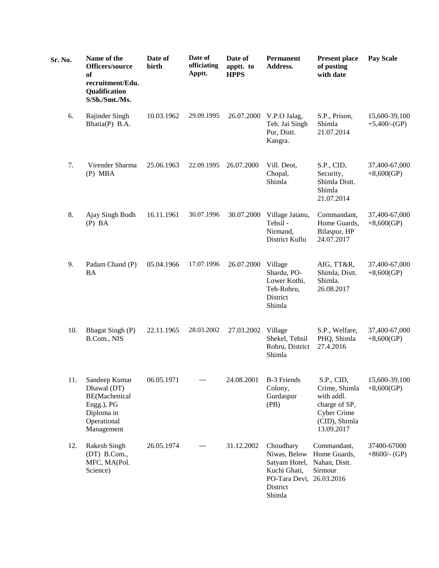| Sr. No. | Name of the<br>Officers/source<br>of<br>recruitment/Edu.<br>Qualification<br>S/Sh./Smt./Ms.            | Date of<br>birth | Date of<br>officiating<br>Apptt. | Date of<br>apptt. to<br><b>HPPS</b> | <b>Permanent</b><br>Address.                                                                                 | <b>Present place</b><br>of posting<br>with date                                                          | <b>Pay Scale</b>                 |
|---------|--------------------------------------------------------------------------------------------------------|------------------|----------------------------------|-------------------------------------|--------------------------------------------------------------------------------------------------------------|----------------------------------------------------------------------------------------------------------|----------------------------------|
| 6.      | Rajinder Singh<br>Bhatia(P) B.A.                                                                       | 10.03.1962       | 29.09.1995                       | 26.07.2000                          | V.P.O Jalag,<br>Teh. Jai Singh<br>Pur, Distt.<br>Kangra.                                                     | S.P., Prison,<br>Shimla<br>21.07.2014                                                                    | 15,600-39,100<br>$+5,400$ /-(GP) |
| 7.      | Virender Sharma<br>$(P)$ MBA                                                                           | 25.06.1963       | 22.09.1995                       | 26.07.2000                          | Vill. Deot,<br>Chopal,<br>Shimla                                                                             | S.P., CID,<br>Security,<br>Shimla Distt.<br>Shimla<br>21.07.2014                                         | 37,400-67,000<br>$+8,600(GP)$    |
| 8.      | Ajay Singh Bodh<br>$(P)$ BA                                                                            | 16.11.1961       | 30.07.1996                       | 30.07.2000                          | Village Jatanu,<br>Tehsil-<br>Nirmand,<br>District Kullu                                                     | Commandant,<br>Home Guards,<br>Bilaspur, HP<br>24.07.2017                                                | 37,400-67,000<br>$+8,600(GP)$    |
| 9.      | Padam Chand (P)<br><b>BA</b>                                                                           | 05.04.1966       | 17.07.1996                       | 26.07.2000                          | Village<br>Shardu, PO-<br>Lower Kothi,<br>Teh-Rohru,<br>District<br>Shimla                                   | AIG, TT&R,<br>Shimla, Distt.<br>Shimla.<br>26.08.2017                                                    | 37,400-67,000<br>$+8,600(GP)$    |
| 10.     | Bhagat Singh (P)<br>B.Com., NIS                                                                        | 22.11.1965       | 28.03.2002                       | 27.03.2002                          | Village<br>Shekel, Tehsil<br>Rohru, District<br>Shimla                                                       | S.P., Welfare,<br>PHQ, Shimla<br>27.4.2016                                                               | 37,400-67,000<br>$+8,600(GP)$    |
| 11.     | Sandeep Kumar<br>Dhawal (DT)<br>BE(Machenical<br>Engg.), PG<br>Diploma in<br>Operational<br>Management | 06.05.1971       |                                  | 24.08.2001                          | <b>B-3 Friends</b><br>Colony,<br>Gurdaspur<br>(PB)                                                           | S.P., CID,<br>Crime, Shimla<br>with addl.<br>charge of SP,<br>Cyber Crime<br>(CID), Shimla<br>13.09.2017 | 15,600-39,100<br>$+8,600(GP)$    |
| 12.     | Rakesh Singh<br>(DT) B.Com.,<br>MFC, MA(Pol.<br>Science)                                               | 26.05.1974       | $---$                            | 31.12.2002                          | Choudhary<br>Niwas, Below<br>Satyam Hotel,<br>Kuchi Ghati,<br>PO-Tara Devi, 26.03.2016<br>District<br>Shimla | Commandant,<br>Home Guards,<br>Nahan, Distt.<br>Sirmour                                                  | 37400-67000<br>$+8600$ /- (GP)   |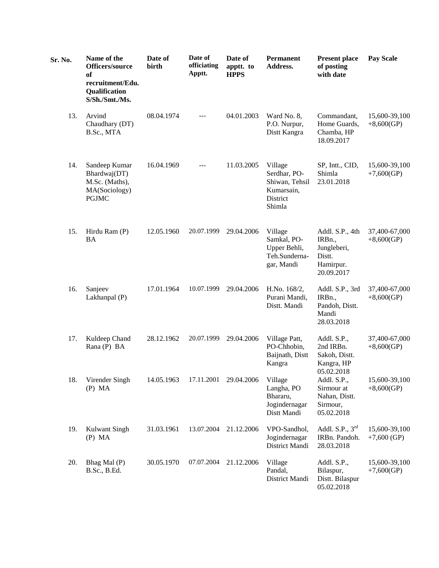| Sr. No. | Name of the<br>Officers/source<br>of<br>recruitment/Edu.<br>Qualification<br>S/Sh./Smt./Ms. | Date of<br>birth | Date of<br>officiating<br>Apptt. | Date of<br>apptt. to<br><b>HPPS</b> | <b>Permanent</b><br>Address.                                                  | <b>Present place</b><br>of posting<br>with date                               | <b>Pay Scale</b>               |
|---------|---------------------------------------------------------------------------------------------|------------------|----------------------------------|-------------------------------------|-------------------------------------------------------------------------------|-------------------------------------------------------------------------------|--------------------------------|
| 13.     | Arvind<br>Chaudhary (DT)<br>B.Sc., MTA                                                      | 08.04.1974       | $---$                            | 04.01.2003                          | Ward No. 8,<br>P.O. Nurpur,<br>Distt Kangra                                   | Commandant,<br>Home Guards,<br>Chamba, HP<br>18.09.2017                       | 15,600-39,100<br>$+8,600(GP)$  |
| 14.     | Sandeep Kumar<br>Bhardwaj(DT)<br>M.Sc. (Maths),<br>MA(Sociology)<br><b>PGJMC</b>            | 16.04.1969       | $---$                            | 11.03.2005                          | Village<br>Serdhar, PO-<br>Shiwan, Tehsil<br>Kumarsain,<br>District<br>Shimla | SP, Intt., CID,<br>Shimla<br>23.01.2018                                       | 15,600-39,100<br>$+7,600(GP)$  |
| 15.     | Hirdu Ram (P)<br><b>BA</b>                                                                  | 12.05.1960       | 20.07.1999                       | 29.04.2006                          | Village<br>Samkal, PO-<br>Upper Behli,<br>Teh.Sunderna-<br>gar, Mandi         | Addl. S.P., 4th<br>IRBn.,<br>Jungleberi,<br>Distt.<br>Hamirpur.<br>20.09.2017 | 37,400-67,000<br>$+8,600(GP)$  |
| 16.     | Sanjeev<br>Lakhanpal (P)                                                                    | 17.01.1964       | 10.07.1999                       | 29.04.2006                          | H.No. 168/2,<br>Purani Mandi,<br>Distt. Mandi                                 | Addl. S.P., 3rd<br>IRBn.,<br>Pandoh, Distt.<br>Mandi<br>28.03.2018            | 37,400-67,000<br>$+8,600(GP)$  |
| 17.     | Kuldeep Chand<br>Rana (P) BA                                                                | 28.12.1962       | 20.07.1999                       | 29.04.2006                          | Village Patt,<br>PO-Chhobin,<br>Baijnath, Distt<br>Kangra                     | Addl. S.P.,<br>2nd IRBn.<br>Sakoh, Distt.<br>Kangra, HP<br>05.02.2018         | 37,400-67,000<br>$+8,600(GP)$  |
| 18.     | Virender Singh<br>$(P)$ MA                                                                  | 14.05.1963       | 17.11.2001                       | 29.04.2006                          | Village<br>Langha, PO<br>Bhararu,<br>Jogindernagar<br>Distt Mandi             | Addl. S.P.,<br>Sirmour at<br>Nahan, Distt.<br>Sirmour,<br>05.02.2018          | 15,600-39,100<br>$+8,600(GP)$  |
| 19.     | Kulwant Singh<br>$(P)$ MA                                                                   | 31.03.1961       | 13.07.2004                       | 21.12.2006                          | VPO-Sandhol,<br>Jogindernagar<br>District Mandi                               | Addl. S.P., $3rd$<br>IRBn. Pandoh.<br>28.03.2018                              | 15,600-39,100<br>$+7,600$ (GP) |
| 20.     | Bhag Mal (P)<br>B.Sc., B.Ed.                                                                | 30.05.1970       | 07.07.2004                       | 21.12.2006                          | Village<br>Pandal,<br>District Mandi                                          | Addl. S.P.,<br>Bilaspur,<br>Distt. Bilaspur<br>05.02.2018                     | 15,600-39,100<br>$+7,600(GP)$  |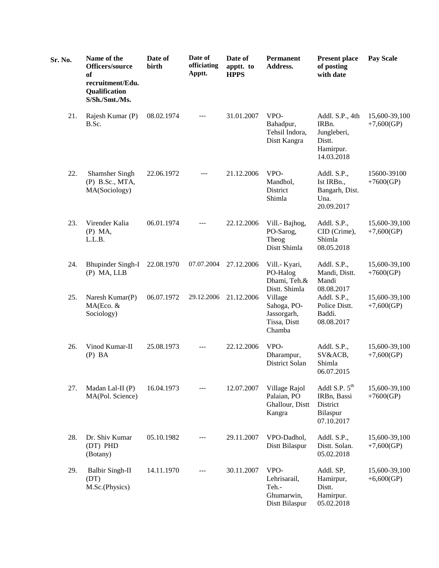| Sr. No. | Name of the<br>Officers/source<br>of<br>recruitment/Edu.<br>Qualification<br>S/Sh./Smt./Ms. | Date of<br>birth | Date of<br>officiating<br>Apptt. | Date of<br>apptt. to<br><b>HPPS</b> | <b>Permanent</b><br>Address.                                                     | <b>Present place</b><br>of posting<br>with date                              | <b>Pay Scale</b>              |
|---------|---------------------------------------------------------------------------------------------|------------------|----------------------------------|-------------------------------------|----------------------------------------------------------------------------------|------------------------------------------------------------------------------|-------------------------------|
| 21.     | Rajesh Kumar (P)<br>B.Sc.                                                                   | 08.02.1974       | $---$                            | 31.01.2007                          | VPO-<br>Bahadpur,<br>Tehsil Indora,<br>Distt Kangra                              | Addl. S.P., 4th<br>IRBn.<br>Jungleberi,<br>Distt.<br>Hamirpur.<br>14.03.2018 | 15,600-39,100<br>$+7,600(GP)$ |
| 22.     | <b>Shamsher Singh</b><br>(P) B.Sc., MTA,<br>MA(Sociology)                                   | 22.06.1972       | $---$                            | 21.12.2006                          | VPO-<br>Mandhol,<br>District<br>Shimla                                           | Addl. S.P.,<br>Ist IRBn.,<br>Bangarh, Dist.<br>Una.<br>20.09.2017            | 15600-39100<br>$+7600(GP)$    |
| 23.     | Virender Kalia<br>$(P)$ MA,<br>L.L.B.                                                       | 06.01.1974       | ---                              | 22.12.2006                          | Vill.- Bajhog,<br>PO-Sarog,<br>Theog<br>Distt Shimla                             | Addl. S.P.,<br>CID (Crime),<br>Shimla<br>08.05.2018                          | 15,600-39,100<br>$+7,600(GP)$ |
| 24.     | <b>Bhupinder Singh-I</b><br>(P) MA, LLB                                                     | 22.08.1970       | 07.07.2004                       | 27.12.2006                          | Vill.- Kyari,<br>PO-Halog<br>Dhami, Teh.&                                        | Addl. S.P.,<br>Mandi, Distt.<br>Mandi                                        | 15,600-39,100<br>$+7600(GP)$  |
| 25.     | Naresh Kumar(P)<br>MA(Eco. &<br>Sociology)                                                  | 06.07.1972       | 29.12.2006                       | 21.12.2006                          | Distt. Shimla<br>Village<br>Sahoga, PO-<br>Jassorgarh,<br>Tissa, Distt<br>Chamba | 08.08.2017<br>Addl. S.P.,<br>Police Distt.<br>Baddi.<br>08.08.2017           | 15,600-39,100<br>$+7,600(GP)$ |
| 26.     | Vinod Kumar-II<br>$(P)$ BA                                                                  | 25.08.1973       | $---$                            | 22.12.2006                          | VPO-<br>Dharampur,<br>District Solan                                             | Addl. S.P.,<br>SV&ACB,<br>Shimla<br>06.07.2015                               | 15,600-39,100<br>$+7,600(GP)$ |
| 27.     | Madan Lal-II (P)<br>MA(Pol. Science)                                                        | 16.04.1973       |                                  | 12.07.2007                          | Village Rajol<br>Palaian, PO<br>Ghallour, Distt<br>Kangra                        | Addl S.P. $5th$<br>IRBn, Bassi<br>District<br>Bilaspur<br>07.10.2017         | 15,600-39,100<br>$+7600(GP)$  |
| 28.     | Dr. Shiv Kumar<br>(DT) PHD<br>(Botany)                                                      | 05.10.1982       | $---$                            | 29.11.2007                          | VPO-Dadhol,<br>Distt Bilaspur                                                    | Addl. S.P.,<br>Distt. Solan.<br>05.02.2018                                   | 15,600-39,100<br>$+7,600(GP)$ |
| 29.     | <b>Balbir Singh-II</b><br>(DT)<br>M.Sc.(Physics)                                            | 14.11.1970       |                                  | 30.11.2007                          | VPO-<br>Lehrisarail,<br>Teh.-<br>Ghumarwin,<br>Distt Bilaspur                    | Addl. SP,<br>Hamirpur,<br>Distt.<br>Hamirpur.<br>05.02.2018                  | 15,600-39,100<br>$+6,600(GP)$ |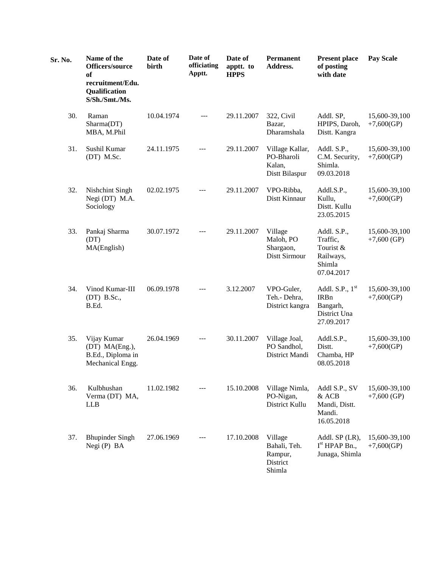| Sr. No. | Name of the<br><b>Officers/source</b><br>of<br>recruitment/Edu.<br>Qualification<br>S/Sh./Smt./Ms. | Date of<br>birth | Date of<br>officiating<br>Apptt. | Date of<br>apptt. to<br><b>HPPS</b> | <b>Permanent</b><br>Address.                              | <b>Present place</b><br>of posting<br>with date                           | <b>Pay Scale</b>               |
|---------|----------------------------------------------------------------------------------------------------|------------------|----------------------------------|-------------------------------------|-----------------------------------------------------------|---------------------------------------------------------------------------|--------------------------------|
| 30.     | Raman<br>Sharma(DT)<br>MBA, M.Phil                                                                 | 10.04.1974       | $---$                            | 29.11.2007                          | 322, Civil<br>Bazar,<br>Dharamshala                       | Addl. SP,<br>HPIPS, Daroh,<br>Distt. Kangra                               | 15,600-39,100<br>$+7,600(GP)$  |
| 31.     | Sushil Kumar<br>(DT) M.Sc.                                                                         | 24.11.1975       | ---                              | 29.11.2007                          | Village Kallar,<br>PO-Bharoli<br>Kalan,<br>Distt Bilaspur | Addl. S.P.,<br>C.M. Security,<br>Shimla.<br>09.03.2018                    | 15,600-39,100<br>$+7,600(GP)$  |
| 32.     | Nishchint Singh<br>Negi (DT) M.A.<br>Sociology                                                     | 02.02.1975       |                                  | 29.11.2007                          | VPO-Ribba,<br>Distt Kinnaur                               | Addl.S.P.,<br>Kullu,<br>Distt. Kullu<br>23.05.2015                        | 15,600-39,100<br>$+7,600(GP)$  |
| 33.     | Pankaj Sharma<br>(DT)<br>MA(English)                                                               | 30.07.1972       | ---                              | 29.11.2007                          | Village<br>Maloh, PO<br>Shargaon,<br>Distt Sirmour        | Addl. S.P.,<br>Traffic,<br>Tourist &<br>Railways,<br>Shimla<br>07.04.2017 | 15,600-39,100<br>$+7,600$ (GP) |
| 34.     | Vinod Kumar-III<br>$(DT)$ B.Sc.,<br>B.Ed.                                                          | 06.09.1978       |                                  | 3.12.2007                           | VPO-Guler,<br>Teh.- Dehra,<br>District kangra             | Addl. S.P., $1st$<br>IRBn<br>Bangarh,<br>District Una<br>27.09.2017       | 15,600-39,100<br>$+7,600(GP)$  |
| 35.     | Vijay Kumar<br>(DT) MA(Eng.),<br>B.Ed., Diploma in<br>Mechanical Engg.                             | 26.04.1969       | ---                              | 30.11.2007                          | Village Joal,<br>PO Sandhol,<br>District Mandi            | Addl.S.P.,<br>Distt.<br>Chamba, HP<br>08.05.2018                          | 15,600-39,100<br>$+7,600(GP)$  |
| 36.     | Kulbhushan<br>Verma (DT) MA,<br><b>LLB</b>                                                         | 11.02.1982       |                                  | 15.10.2008                          | Village Nimla,<br>PO-Nigan,<br>District Kullu             | Addl S.P., SV<br>& ACB<br>Mandi, Distt.<br>Mandi.<br>16.05.2018           | 15,600-39,100<br>$+7,600$ (GP) |
| 37.     | <b>Bhupinder Singh</b><br>Negi (P) BA                                                              | 27.06.1969       | $---$                            | 17.10.2008                          | Village<br>Bahali, Teh.<br>Rampur,<br>District<br>Shimla  | Addl. SP (LR),<br>I <sup>st</sup> H PAP Bn.,<br>Junaga, Shimla            | 15,600-39,100<br>$+7,600(GP)$  |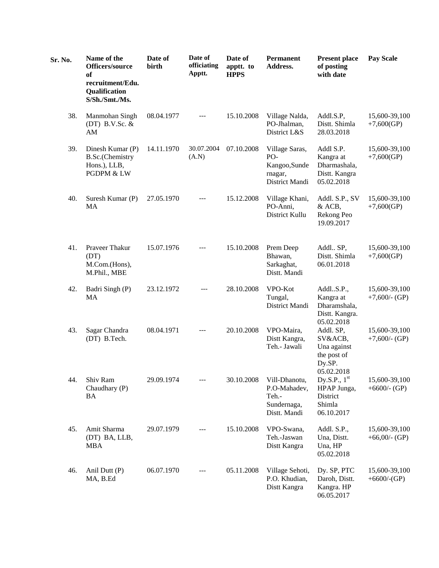| Sr. No. | Name of the<br>Officers/source<br><b>of</b><br>recruitment/Edu.<br>Qualification<br>S/Sh./Smt./Ms. | Date of<br>birth | Date of<br>officiating<br>Apptt. | Date of<br>apptt. to<br><b>HPPS</b> | <b>Permanent</b><br>Address.                                          | <b>Present place</b><br>of posting<br>with date                            | <b>Pay Scale</b>                  |
|---------|----------------------------------------------------------------------------------------------------|------------------|----------------------------------|-------------------------------------|-----------------------------------------------------------------------|----------------------------------------------------------------------------|-----------------------------------|
| 38.     | Manmohan Singh<br>(DT) B.V.Sc. $&$<br>AM                                                           | 08.04.1977       | $\cdots$                         | 15.10.2008                          | Village Nalda,<br>PO-Jhalman,<br>District L&S                         | Addl.S.P,<br>Distt. Shimla<br>28.03.2018                                   | 15,600-39,100<br>$+7,600(GP)$     |
| 39.     | Dinesh Kumar (P)<br><b>B.Sc.(Chemistry</b><br>Hons.), LLB,<br>PGDPM & LW                           | 14.11.1970       | 30.07.2004<br>(A.N)              | 07.10.2008                          | Village Saras,<br>PO-<br>Kangoo, Sunde<br>rnagar,<br>District Mandi   | Addl S.P.<br>Kangra at<br>Dharmashala,<br>Distt. Kangra<br>05.02.2018      | 15,600-39,100<br>$+7,600(GP)$     |
| 40.     | Suresh Kumar (P)<br>MA                                                                             | 27.05.1970       | $---$                            | 15.12.2008                          | Village Khani,<br>PO-Anni,<br>District Kullu                          | Addl. S.P., SV<br>& ACB,<br>Rekong Peo<br>19.09.2017                       | 15,600-39,100<br>$+7,600(GP)$     |
| 41.     | Praveer Thakur<br>(DT)<br>M.Com.(Hons),<br>M.Phil., MBE                                            | 15.07.1976       | ---                              | 15.10.2008                          | Prem Deep<br>Bhawan,<br>Sarkaghat,<br>Distt. Mandi                    | Addl., SP,<br>Distt. Shimla<br>06.01.2018                                  | 15,600-39,100<br>$+7,600(GP)$     |
| 42.     | Badri Singh (P)<br>MA                                                                              | 23.12.1972       | $---$                            | 28.10.2008                          | VPO-Kot<br>Tungal,<br>District Mandi                                  | AddlS.P.,<br>Kangra at<br>Dharamshala,<br>Distt. Kangra.<br>05.02.2018     | 15,600-39,100<br>$+7,600$ /- (GP) |
| 43.     | Sagar Chandra<br>(DT) B.Tech.                                                                      | 08.04.1971       |                                  | 20.10.2008                          | VPO-Maira,<br>Distt Kangra,<br>Teh.- Jawali                           | Addl. SP,<br>SV&ACB,<br>Una against<br>the post of<br>Dy.SP.<br>05.02.2018 | 15,600-39,100<br>$+7,600$ /- (GP) |
| 44.     | Shiv Ram<br>Chaudhary (P)<br><b>BA</b>                                                             | 29.09.1974       |                                  | 30.10.2008                          | Vill-Dhanotu,<br>P.O-Mahadev,<br>Teh.-<br>Sundernaga,<br>Distt. Mandi | Dy.S.P., $1st$<br>HPAP Junga,<br>District<br>Shimla<br>06.10.2017          | 15,600-39,100<br>$+6600$ /- (GP)  |
| 45.     | Amit Sharma<br>(DT) BA, LLB,<br><b>MBA</b>                                                         | 29.07.1979       |                                  | 15.10.2008                          | VPO-Swana,<br>Teh.-Jaswan<br>Distt Kangra                             | Addl. S.P.,<br>Una, Distt.<br>Una, HP<br>05.02.2018                        | 15,600-39,100<br>+66,00/- $(GP)$  |
| 46.     | Anil Dutt (P)<br>MA, B.Ed                                                                          | 06.07.1970       |                                  | 05.11.2008                          | Village Sehoti,<br>P.O. Khudian,<br>Distt Kangra                      | Dy. SP, PTC<br>Daroh, Distt.<br>Kangra. HP<br>06.05.2017                   | 15,600-39,100<br>$+6600$ /-(GP)   |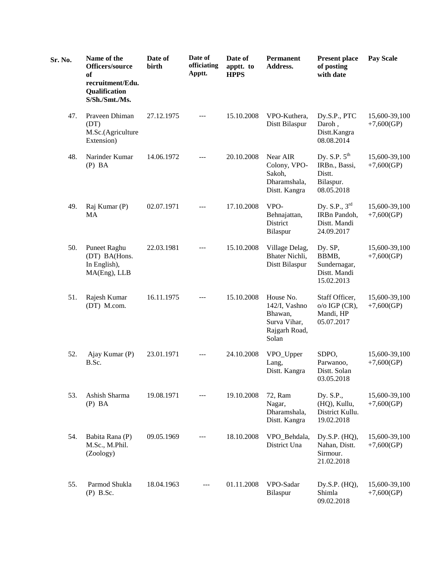| Sr. No. | Name of the<br>Officers/source<br>of<br>recruitment/Edu.<br>Qualification<br>S/Sh./Smt./Ms. | Date of<br>birth | Date of<br>officiating<br>Apptt. | Date of<br>apptt. to<br><b>HPPS</b> | Permanent<br>Address.                                                           | <b>Present place</b><br>of posting<br>with date                                | <b>Pay Scale</b>              |
|---------|---------------------------------------------------------------------------------------------|------------------|----------------------------------|-------------------------------------|---------------------------------------------------------------------------------|--------------------------------------------------------------------------------|-------------------------------|
| 47.     | Praveen Dhiman<br>(DT)<br>M.Sc.(Agriculture<br>Extension)                                   | 27.12.1975       | ---                              | 15.10.2008                          | VPO-Kuthera,<br>Distt Bilaspur                                                  | Dy.S.P., PTC<br>Daroh,<br>Distt.Kangra<br>08.08.2014                           | 15,600-39,100<br>$+7,600(GP)$ |
| 48.     | Narinder Kumar<br>$(P)$ BA                                                                  | 14.06.1972       | ---                              | 20.10.2008                          | Near AIR<br>Colony, VPO-<br>Sakoh,<br>Dharamshala,<br>Distt. Kangra             | Dy. S.P. $5^{\text{th}}$<br>IRBn., Bassi,<br>Distt.<br>Bilaspur.<br>08.05.2018 | 15,600-39,100<br>$+7,600(GP)$ |
| 49.     | Raj Kumar (P)<br>MA                                                                         | 02.07.1971       | ---                              | 17.10.2008                          | VPO-<br>Behnajattan,<br>District<br>Bilaspur                                    | Dy. S.P., $3^{\text{rd}}$<br>IRBn Pandoh,<br>Distt. Mandi<br>24.09.2017        | 15,600-39,100<br>$+7,600(GP)$ |
| 50.     | Puneet Raghu<br>(DT) BA(Hons.<br>In English),<br>MA(Eng), LLB                               | 22.03.1981       |                                  | 15.10.2008                          | Village Delag,<br>Bhater Nichli,<br>Distt Bilaspur                              | Dy. SP,<br>BBMB,<br>Sundernagar,<br>Distt. Mandi<br>15.02.2013                 | 15,600-39,100<br>$+7,600(GP)$ |
| 51.     | Rajesh Kumar<br>(DT) M.com.                                                                 | 16.11.1975       |                                  | 15.10.2008                          | House No.<br>142/I, Vashno<br>Bhawan,<br>Surva Vihar,<br>Rajgarh Road,<br>Solan | Staff Officer,<br>$o/o$ IGP (CR),<br>Mandi, HP<br>05.07.2017                   | 15,600-39,100<br>$+7,600(GP)$ |
| 52.     | Ajay Kumar (P)<br>B.Sc.                                                                     | 23.01.1971       | ---                              | 24.10.2008                          | VPO_Upper<br>Lang,<br>Distt. Kangra                                             | SDPO,<br>Parwanoo,<br>Distt. Solan<br>03.05.2018                               | 15,600-39,100<br>$+7,600(GP)$ |
| 53.     | Ashish Sharma<br>$(P)$ BA                                                                   | 19.08.1971       | ---                              | 19.10.2008                          | 72, Ram<br>Nagar,<br>Dharamshala,<br>Distt. Kangra                              | Dy. S.P.,<br>(HQ), Kullu,<br>District Kullu.<br>19.02.2018                     | 15,600-39,100<br>$+7,600(GP)$ |
| 54.     | Babita Rana (P)<br>M.Sc., M.Phil.<br>(Zoology)                                              | 09.05.1969       | ---                              | 18.10.2008                          | VPO_Behdala,<br>District Una                                                    | Dy.S.P. (HQ),<br>Nahan, Distt.<br>Sirmour.<br>21.02.2018                       | 15,600-39,100<br>$+7,600(GP)$ |
| 55.     | Parmod Shukla<br>$(P)$ B.Sc.                                                                | 18.04.1963       |                                  | 01.11.2008                          | VPO-Sadar<br>Bilaspur                                                           | Dy.S.P. (HQ),<br>Shimla<br>09.02.2018                                          | 15,600-39,100<br>$+7,600(GP)$ |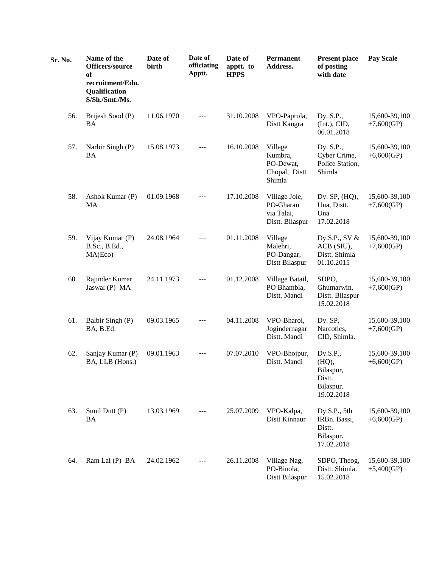| Sr. No. | Name of the<br>Officers/source<br>of<br>recruitment/Edu.<br>Qualification<br>S/Sh./Smt./Ms. | Date of<br>birth | Date of<br>officiating<br>Apptt. | Date of<br>apptt. to<br><b>HPPS</b> | <b>Permanent</b><br>Address.                                | <b>Present place</b><br>of posting<br>with date                     | <b>Pay Scale</b>              |
|---------|---------------------------------------------------------------------------------------------|------------------|----------------------------------|-------------------------------------|-------------------------------------------------------------|---------------------------------------------------------------------|-------------------------------|
| 56.     | Brijesh Sood (P)<br>BA                                                                      | 11.06.1970       | ---                              | 31.10.2008                          | VPO-Paprola,<br>Distt Kangra                                | Dy. S.P.,<br>(Int.), CID,<br>06.01.2018                             | 15,600-39,100<br>$+7,600(GP)$ |
| 57.     | Narbir Singh (P)<br><b>BA</b>                                                               | 15.08.1973       | ---                              | 16.10.2008                          | Village<br>Kumbra,<br>PO-Dewat,<br>Chopal, Distt<br>Shimla  | Dy. S.P.,<br>Cyber Crime,<br>Police Station,<br>Shimla              | 15,600-39,100<br>$+6,600(GP)$ |
| 58.     | Ashok Kumar (P)<br>MA                                                                       | 01.09.1968       | ---                              | 17.10.2008                          | Village Jole,<br>PO-Gharan<br>via Talai,<br>Distt. Bilaspur | Dy. SP, (HQ),<br>Una, Distt.<br>Una<br>17.02.2018                   | 15,600-39,100<br>$+7,600(GP)$ |
| 59.     | Vijay Kumar (P)<br>B.Sc., B.Ed.,<br>MA(Eco)                                                 | 24.08.1964       | ---                              | 01.11.2008                          | Village<br>Malehri,<br>PO-Dangar,<br>Distt Bilaspur         | Dy.S.P., SV $&$<br>ACB (SIU),<br>Distt. Shimla<br>01.10.2015        | 15,600-39,100<br>$+7,600(GP)$ |
| 60.     | Rajinder Kumar<br>Jaswal (P) MA                                                             | 24.11.1973       | $---$                            | 01.12.2008                          | Village Batail,<br>PO Bhambla,<br>Distt. Mandi              | SDPO,<br>Ghumarwin,<br>Distt. Bilaspur<br>15.02.2018                | 15,600-39,100<br>$+7,600(GP)$ |
| 61.     | Balbir Singh (P)<br>BA, B.Ed.                                                               | 09.03.1965       | ---                              | 04.11.2008                          | VPO-Bharol,<br>Jogindernagar<br>Distt. Mandi                | Dy. SP,<br>Narcotics,<br>CID, Shimla.                               | 15,600-39,100<br>$+7,600(GP)$ |
| 62.     | Sanjay Kumar (P)<br>BA, LLB (Hons.)                                                         | 09.01.1963       |                                  | 07.07.2010                          | VPO-Bhojpur,<br>Distt. Mandi                                | Dy.S.P.,<br>(HQ),<br>Bilaspur,<br>Distt.<br>Bilaspur.<br>19.02.2018 | 15,600-39,100<br>$+6,600(GP)$ |
| 63.     | Sunil Dutt (P)<br><b>BA</b>                                                                 | 13.03.1969       | $---$                            | 25.07.2009                          | VPO-Kalpa,<br>Distt Kinnaur                                 | Dy.S.P., 5th<br>IRBn. Bassi,<br>Distt.<br>Bilaspur.<br>17.02.2018   | 15,600-39,100<br>$+6,600(GP)$ |
| 64.     | Ram Lal (P) BA                                                                              | 24.02.1962       | ---                              | 26.11.2008                          | Village Nag,<br>PO-Binola,<br>Distt Bilaspur                | SDPO, Theog,<br>Distt. Shimla.<br>15.02.2018                        | 15,600-39,100<br>$+5,400(GP)$ |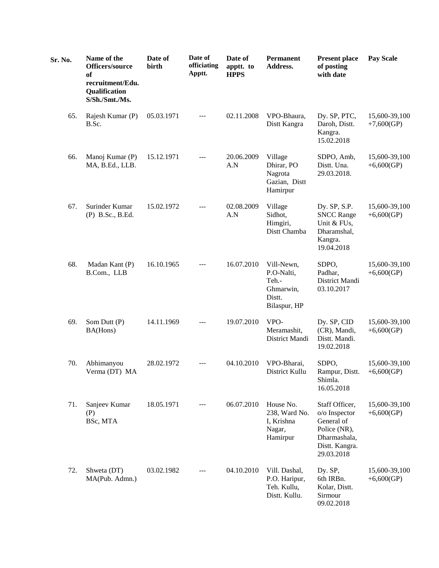| Sr. No. | Name of the<br>Officers/source<br>of<br>recruitment/Edu.<br>Qualification<br>S/Sh./Smt./Ms. | Date of<br>birth | Date of<br>officiating<br>Apptt. | Date of<br>apptt. to<br><b>HPPS</b> | Permanent<br>Address.                                                    | <b>Present place</b><br>of posting<br>with date                                                               | <b>Pay Scale</b>              |
|---------|---------------------------------------------------------------------------------------------|------------------|----------------------------------|-------------------------------------|--------------------------------------------------------------------------|---------------------------------------------------------------------------------------------------------------|-------------------------------|
| 65.     | Rajesh Kumar (P)<br>B.Sc.                                                                   | 05.03.1971       |                                  | 02.11.2008                          | VPO-Bhaura,<br>Distt Kangra                                              | Dy. SP, PTC,<br>Daroh, Distt.<br>Kangra.<br>15.02.2018                                                        | 15,600-39,100<br>$+7,600(GP)$ |
| 66.     | Manoj Kumar (P)<br>MA, B.Ed., LLB.                                                          | 15.12.1971       |                                  | 20.06.2009<br>A.N                   | Village<br>Dhirar, PO<br>Nagrota<br>Gazian, Distt<br>Hamirpur            | SDPO, Amb,<br>Distt. Una.<br>29.03.2018.                                                                      | 15,600-39,100<br>$+6,600(GP)$ |
| 67.     | Surinder Kumar<br>(P) B.Sc., B.Ed.                                                          | 15.02.1972       |                                  | 02.08.2009<br>A.N                   | Village<br>Sidhot,<br>Himgiri,<br>Distt Chamba                           | Dy. SP, S.P.<br><b>SNCC Range</b><br>Unit & FUs,<br>Dharamshal,<br>Kangra.<br>19.04.2018                      | 15,600-39,100<br>$+6,600(GP)$ |
| 68.     | Madan Kant (P)<br>B.Com., LLB                                                               | 16.10.1965       | ---                              | 16.07.2010                          | Vill-Newn,<br>P.O-Nalti,<br>Teh.-<br>Ghmarwin,<br>Distt.<br>Bilaspur, HP | SDPO,<br>Padhar,<br>District Mandi<br>03.10.2017                                                              | 15,600-39,100<br>$+6,600(GP)$ |
| 69.     | Som Dutt (P)<br>BA(Hons)                                                                    | 14.11.1969       | ---                              | 19.07.2010                          | VPO-<br>Meramashit,<br>District Mandi                                    | Dy. SP, CID<br>(CR), Mandi,<br>Distt. Mandi.<br>19.02.2018                                                    | 15,600-39,100<br>$+6,600(GP)$ |
| 70.     | Abhimanyou<br>Verma (DT) MA                                                                 | 28.02.1972       |                                  | 04.10.2010                          | VPO-Bharai,<br>District Kullu                                            | SDPO,<br>Rampur, Distt.<br>Shimla.<br>16.05.2018                                                              | 15,600-39,100<br>+6,600(GP)   |
| 71.     | Sanjeev Kumar<br>(P)<br>BSc, MTA                                                            | 18.05.1971       |                                  | 06.07.2010                          | House No.<br>238, Ward No.<br>I, Krishna<br>Nagar,<br>Hamirpur           | Staff Officer,<br>o/o Inspector<br>General of<br>Police (NR),<br>Dharmashala,<br>Distt. Kangra.<br>29.03.2018 | 15,600-39,100<br>$+6,600(GP)$ |
| 72.     | Shweta (DT)<br>MA(Pub. Admn.)                                                               | 03.02.1982       |                                  | 04.10.2010                          | Vill. Dashal,<br>P.O. Haripur,<br>Teh. Kullu,<br>Distt. Kullu.           | Dy. SP,<br>6th IRBn.<br>Kolar, Distt.<br>Sirmour<br>09.02.2018                                                | 15,600-39,100<br>$+6,600(GP)$ |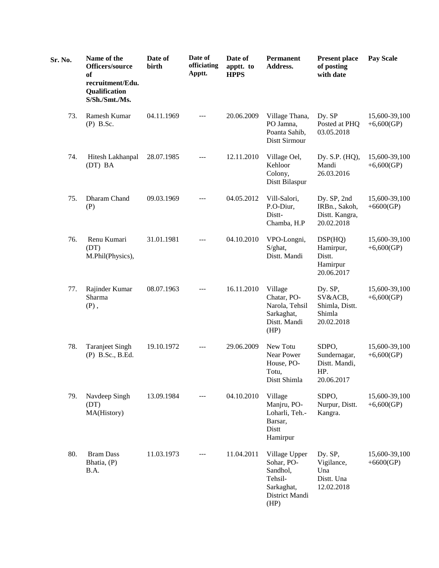| Sr. No. | Name of the<br>Officers/source<br>of<br>recruitment/Edu.<br>Qualification<br>S/Sh./Smt./Ms. | Date of<br>birth | Date of<br>officiating<br>Apptt. | Date of<br>apptt. to<br><b>HPPS</b> | <b>Permanent</b><br>Address.                                                               | <b>Present place</b><br>of posting<br>with date              | <b>Pay Scale</b>              |
|---------|---------------------------------------------------------------------------------------------|------------------|----------------------------------|-------------------------------------|--------------------------------------------------------------------------------------------|--------------------------------------------------------------|-------------------------------|
| 73.     | Ramesh Kumar<br>$(P)$ B.Sc.                                                                 | 04.11.1969       | $---$                            | 20.06.2009                          | Village Thana,<br>PO Jamna,<br>Poanta Sahib,<br>Distt Sirmour                              | Dy. SP<br>Posted at PHQ<br>03.05.2018                        | 15,600-39,100<br>$+6,600(GP)$ |
| 74.     | Hitesh Lakhanpal<br>(DT) BA                                                                 | 28.07.1985       | $---$                            | 12.11.2010                          | Village Oel,<br>Kehloor<br>Colony,<br>Distt Bilaspur                                       | Dy. S.P. (HQ),<br>Mandi<br>26.03.2016                        | 15,600-39,100<br>$+6,600(GP)$ |
| 75.     | Dharam Chand<br>(P)                                                                         | 09.03.1969       |                                  | 04.05.2012                          | Vill-Salori,<br>P.O-Diur,<br>Distt-<br>Chamba, H.P                                         | Dy. SP, 2nd<br>IRBn., Sakoh,<br>Distt. Kangra,<br>20.02.2018 | 15,600-39,100<br>$+6600(GP)$  |
| 76.     | Renu Kumari<br>(DT)<br>M.Phil(Physics),                                                     | 31.01.1981       | $---$                            | 04.10.2010                          | VPO-Longni,<br>S/ghat,<br>Distt. Mandi                                                     | DSP(HQ)<br>Hamirpur,<br>Distt.<br>Hamirpur<br>20.06.2017     | 15,600-39,100<br>$+6,600(GP)$ |
| 77.     | Rajinder Kumar<br>Sharma<br>$(P)$ ,                                                         | 08.07.1963       | $---$                            | 16.11.2010                          | Village<br>Chatar, PO-<br>Narola, Tehsil<br>Sarkaghat,<br>Distt. Mandi<br>(HP)             | Dy. SP,<br>SV&ACB,<br>Shimla, Distt.<br>Shimla<br>20.02.2018 | 15,600-39,100<br>$+6,600(GP)$ |
| 78.     | <b>Taranjeet Singh</b><br>(P) B.Sc., B.Ed.                                                  | 19.10.1972       | $---$                            | 29.06.2009                          | New Totu<br>Near Power<br>House, PO-<br>Totu,<br>Distt Shimla                              | SDPO,<br>Sundernagar,<br>Distt. Mandi,<br>HP.<br>20.06.2017  | 15,600-39,100<br>+6,600(GP)   |
| 79.     | Navdeep Singh<br>(DT)<br>MA(History)                                                        | 13.09.1984       |                                  | 04.10.2010                          | Village<br>Manjru, PO-<br>Loharli, Teh.-<br>Barsar,<br>Distt<br>Hamirpur                   | SDPO,<br>Nurpur, Distt.<br>Kangra.                           | 15,600-39,100<br>$+6,600(GP)$ |
| 80.     | <b>Bram Dass</b><br>Bhatia, (P)<br>B.A.                                                     | 11.03.1973       | $---$                            | 11.04.2011                          | Village Upper<br>Sohar, PO-<br>Sandhol,<br>Tehsil-<br>Sarkaghat,<br>District Mandi<br>(HP) | Dy. SP,<br>Vigilance,<br>Una<br>Distt. Una<br>12.02.2018     | 15,600-39,100<br>$+6600(GP)$  |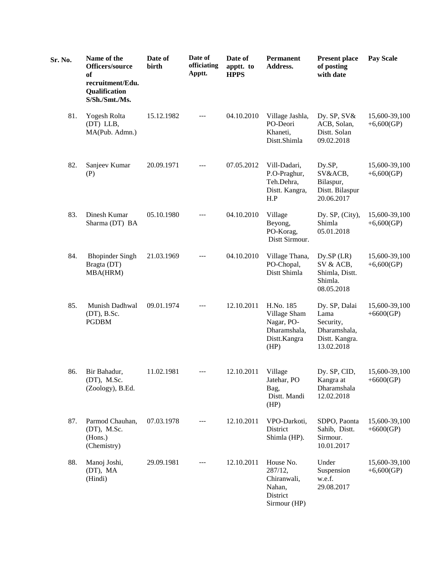| Sr. No. | Name of the<br>Officers/source<br>of<br>recruitment/Edu.<br>Qualification<br>S/Sh./Smt./Ms. | Date of<br>birth | Date of<br>officiating<br>Apptt. | Date of<br>apptt. to<br><b>HPPS</b> | <b>Permanent</b><br>Address.                                                    | <b>Present place</b><br>of posting<br>with date                                    | <b>Pay Scale</b>              |
|---------|---------------------------------------------------------------------------------------------|------------------|----------------------------------|-------------------------------------|---------------------------------------------------------------------------------|------------------------------------------------------------------------------------|-------------------------------|
| 81.     | Yogesh Rolta<br>(DT) LLB,<br>MA(Pub. Admn.)                                                 | 15.12.1982       | $---$                            | 04.10.2010                          | Village Jashla,<br>PO-Deori<br>Khaneti,<br>Distt.Shimla                         | Dy. SP, SV&<br>ACB, Solan,<br>Distt. Solan<br>09.02.2018                           | 15,600-39,100<br>+6,600(GP)   |
| 82.     | Sanjeev Kumar<br>(P)                                                                        | 20.09.1971       | ---                              | 07.05.2012                          | Vill-Dadari,<br>P.O-Praghur,<br>Teh.Dehra,<br>Distt. Kangra,<br>H.P             | Dy.SP,<br>SV&ACB,<br>Bilaspur,<br>Distt. Bilaspur<br>20.06.2017                    | 15,600-39,100<br>$+6,600(GP)$ |
| 83.     | Dinesh Kumar<br>Sharma (DT) BA                                                              | 05.10.1980       |                                  | 04.10.2010                          | Village<br>Beyong,<br>PO-Korag,<br>Distt Sirmour.                               | Dy. SP, (City),<br>Shimla<br>05.01.2018                                            | 15,600-39,100<br>$+6,600(GP)$ |
| 84.     | <b>Bhopinder Singh</b><br>Bragta (DT)<br>MBA(HRM)                                           | 21.03.1969       | $---$                            | 04.10.2010                          | Village Thana,<br>PO-Chopal,<br>Distt Shimla                                    | Dy.SP(LR)<br>SV & ACB,<br>Shimla, Distt.<br>Shimla.<br>08.05.2018                  | 15,600-39,100<br>$+6,600(GP)$ |
| 85.     | Munish Dadhwal<br>(DT), B.Sc.<br><b>PGDBM</b>                                               | 09.01.1974       | ---                              | 12.10.2011                          | H.No. 185<br>Village Sham<br>Nagar, PO-<br>Dharamshala,<br>Distt.Kangra<br>(HP) | Dy. SP, Dalai<br>Lama<br>Security,<br>Dharamshala,<br>Distt. Kangra.<br>13.02.2018 | 15,600-39,100<br>$+6600(GP)$  |
| 86.     | Bir Bahadur,<br>(DT), M.Sc.<br>(Zoology), B.Ed.                                             | 11.02.1981       | ---                              | 12.10.2011                          | Village<br>Jatehar, PO<br>Bag,<br>Distt. Mandi<br>(HP)                          | Dy. SP, CID,<br>Kangra at<br>Dharamshala<br>12.02.2018                             | 15,600-39,100<br>$+6600(GP)$  |
| 87.     | Parmod Chauhan,<br>(DT), M.Sc.<br>(Hons.)<br>(Chemistry)                                    | 07.03.1978       | $---$                            | 12.10.2011                          | VPO-Darkoti,<br>District<br>Shimla (HP).                                        | SDPO, Paonta<br>Sahib, Distt.<br>Sirmour.<br>10.01.2017                            | 15,600-39,100<br>$+6600(GP)$  |
| 88.     | Manoj Joshi,<br>(DT), MA<br>(Hindi)                                                         | 29.09.1981       | $---$                            | 12.10.2011                          | House No.<br>287/12,<br>Chiranwali,<br>Nahan,<br>District<br>Sirmour (HP)       | Under<br>Suspension<br>w.e.f.<br>29.08.2017                                        | 15,600-39,100<br>$+6,600(GP)$ |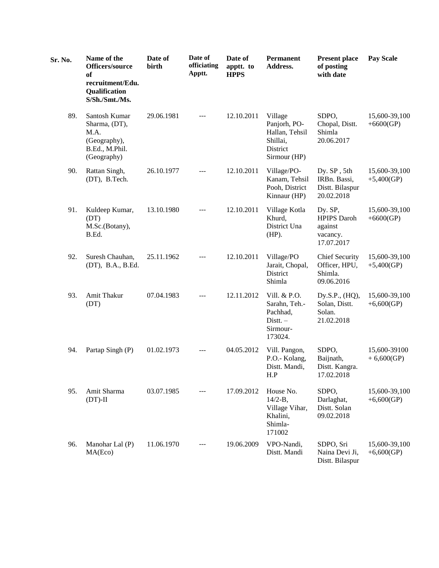| Sr. No. | Name of the<br>Officers/source<br>of<br>recruitment/Edu.<br><b>Qualification</b><br>S/Sh./Smt./Ms. | Date of<br>birth | Date of<br>officiating<br>Apptt. | Date of<br>apptt. to<br><b>HPPS</b> | <b>Permanent</b><br>Address.                                                      | <b>Present place</b><br>of posting<br>with date                    | <b>Pay Scale</b>              |
|---------|----------------------------------------------------------------------------------------------------|------------------|----------------------------------|-------------------------------------|-----------------------------------------------------------------------------------|--------------------------------------------------------------------|-------------------------------|
| 89.     | Santosh Kumar<br>Sharma, (DT),<br>M.A.<br>(Geography),<br>B.Ed., M.Phil.<br>(Geography)            | 29.06.1981       | $---$                            | 12.10.2011                          | Village<br>Panjorh, PO-<br>Hallan, Tehsil<br>Shillai,<br>District<br>Sirmour (HP) | SDPO,<br>Chopal, Distt.<br>Shimla<br>20.06.2017                    | 15,600-39,100<br>$+6600(GP)$  |
| 90.     | Rattan Singh,<br>(DT), B.Tech.                                                                     | 26.10.1977       | $---$                            | 12.10.2011                          | Village/PO-<br>Kanam, Tehsil<br>Pooh, District<br>Kinnaur (HP)                    | Dy. SP, 5th<br>IRBn. Bassi,<br>Distt. Bilaspur<br>20.02.2018       | 15,600-39,100<br>$+5,400(GP)$ |
| 91.     | Kuldeep Kumar,<br>(DT)<br>M.Sc.(Botany),<br>B.Ed.                                                  | 13.10.1980       | $---$                            | 12.10.2011                          | Village Kotla<br>Khurd,<br>District Una<br>$(HP)$ .                               | Dy. SP,<br><b>HPIPS</b> Daroh<br>against<br>vacancy.<br>17.07.2017 | 15,600-39,100<br>$+6600(GP)$  |
| 92.     | Suresh Chauhan,<br>(DT), B.A., B.Ed.                                                               | 25.11.1962       | $---$                            | 12.10.2011                          | Village/PO<br>Jarait, Chopal,<br>District<br>Shimla                               | <b>Chief Security</b><br>Officer, HPU,<br>Shimla.<br>09.06.2016    | 15,600-39,100<br>$+5,400(GP)$ |
| 93.     | Amit Thakur<br>(DT)                                                                                | 07.04.1983       | $---$                            | 12.11.2012                          | Vill. & P.O.<br>Sarahn, Teh.-<br>Pachhad,<br>$Dist. -$<br>Sirmour-<br>173024.     | Dy.S.P., (HQ),<br>Solan, Distt.<br>Solan.<br>21.02.2018            | 15,600-39,100<br>$+6,600(GP)$ |
| 94.     | Partap Singh (P)                                                                                   | 01.02.1973       | $---$                            | 04.05.2012                          | Vill. Pangon,<br>P.O.- Kolang,<br>Distt. Mandi,<br>H.P                            | SDPO,<br>Baijnath,<br>Distt. Kangra.<br>17.02.2018                 | 15,600-39100<br>$+6,600(GP)$  |
| 95.     | Amit Sharma<br>$(DT)-II$                                                                           | 03.07.1985       |                                  | 17.09.2012                          | House No.<br>$14/2 - B$ ,<br>Village Vihar,<br>Khalini,<br>Shimla-<br>171002      | SDPO,<br>Darlaghat,<br>Distt. Solan<br>09.02.2018                  | 15,600-39,100<br>$+6,600(GP)$ |
| 96.     | Manohar Lal (P)<br>MA(Eco)                                                                         | 11.06.1970       |                                  | 19.06.2009                          | VPO-Nandi,<br>Distt. Mandi                                                        | SDPO, Sri<br>Naina Devi Ji,<br>Distt. Bilaspur                     | 15,600-39,100<br>$+6,600(GP)$ |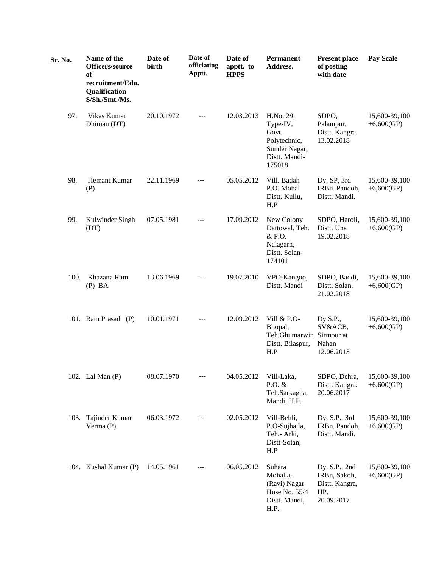| Sr. No. | Name of the<br>Officers/source<br><b>of</b><br>recruitment/Edu.<br>Qualification<br>S/Sh./Smt./Ms. | Date of<br>birth | Date of<br>officiating<br>Apptt. | Date of<br>apptt. to<br><b>HPPS</b> | Permanent<br>Address.                                                                      | <b>Present place</b><br>of posting<br>with date                      | <b>Pay Scale</b>              |
|---------|----------------------------------------------------------------------------------------------------|------------------|----------------------------------|-------------------------------------|--------------------------------------------------------------------------------------------|----------------------------------------------------------------------|-------------------------------|
| 97.     | Vikas Kumar<br>Dhiman (DT)                                                                         | 20.10.1972       | ---                              | 12.03.2013                          | H.No. 29,<br>Type-IV,<br>Govt.<br>Polytechnic,<br>Sunder Nagar,<br>Distt. Mandi-<br>175018 | SDPO,<br>Palampur,<br>Distt. Kangra.<br>13.02.2018                   | 15,600-39,100<br>$+6,600(GP)$ |
| 98.     | Hemant Kumar<br>(P)                                                                                | 22.11.1969       |                                  | 05.05.2012                          | Vill. Badah<br>P.O. Mohal<br>Distt. Kullu,<br>H.P                                          | Dy. SP, 3rd<br>IRBn. Pandoh,<br>Distt. Mandi.                        | 15,600-39,100<br>$+6,600(GP)$ |
| 99.     | Kulwinder Singh<br>(DT)                                                                            | 07.05.1981       |                                  | 17.09.2012                          | New Colony<br>Dattowal, Teh.<br>& P.O.<br>Nalagarh,<br>Distt. Solan-<br>174101             | SDPO, Haroli,<br>Distt. Una<br>19.02.2018                            | 15,600-39,100<br>$+6,600(GP)$ |
| 100.    | Khazana Ram<br>$(P)$ BA                                                                            | 13.06.1969       |                                  | 19.07.2010                          | VPO-Kangoo,<br>Distt. Mandi                                                                | SDPO, Baddi,<br>Distt. Solan.<br>21.02.2018                          | 15,600-39,100<br>$+6,600(GP)$ |
|         | 101. Ram Prasad (P)                                                                                | 10.01.1971       |                                  | 12.09.2012                          | Vill & P.O-<br>Bhopal,<br>Teh.Ghumarwin Sirmour at<br>Distt. Bilaspur,<br>H.P              | Dy.S.P.,<br>SV&ACB,<br>Nahan<br>12.06.2013                           | 15,600-39,100<br>$+6,600(GP)$ |
|         | 102. Lal Man (P)                                                                                   | 08.07.1970       |                                  | 04.05.2012                          | Vill-Laka,<br>P.O. $&$<br>Teh.Sarkagha,<br>Mandi, H.P.                                     | SDPO, Dehra,<br>Distt. Kangra.<br>20.06.2017                         | 15,600-39,100<br>$+6,600(GP)$ |
|         | 103. Tajinder Kumar<br>Verma $(P)$                                                                 | 06.03.1972       |                                  | 02.05.2012                          | Vill-Behli,<br>P.O-Sujhaila,<br>Teh.- Arki,<br>Distt-Solan,<br>H.P                         | Dy. S.P., 3rd<br>IRBn. Pandoh,<br>Distt. Mandi.                      | 15,600-39,100<br>$+6,600(GP)$ |
|         | 104. Kushal Kumar (P)                                                                              | 14.05.1961       |                                  | 06.05.2012                          | Suhara<br>Mohalla-<br>(Ravi) Nagar<br>Huse No. 55/4<br>Distt. Mandi,<br>H.P.               | Dy. S.P., 2nd<br>IRBn, Sakoh,<br>Distt. Kangra,<br>HP.<br>20.09.2017 | 15,600-39,100<br>$+6,600(GP)$ |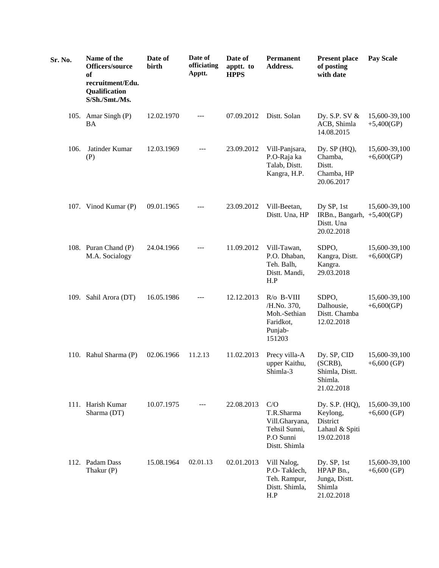| Sr. No. | Name of the<br>Officers/source<br>of<br>recruitment/Edu.<br>Qualification<br>S/Sh./Smt./Ms. | Date of<br>birth | Date of<br>officiating<br>Apptt. | Date of<br>apptt. to<br><b>HPPS</b> | Permanent<br>Address.                                                                  | <b>Present place</b><br>of posting<br>with date                        | <b>Pay Scale</b>               |
|---------|---------------------------------------------------------------------------------------------|------------------|----------------------------------|-------------------------------------|----------------------------------------------------------------------------------------|------------------------------------------------------------------------|--------------------------------|
|         | 105. Amar Singh (P)<br><b>BA</b>                                                            | 12.02.1970       | $---$                            | 07.09.2012                          | Distt. Solan                                                                           | Dy. S.P. SV &<br>ACB, Shimla<br>14.08.2015                             | 15,600-39,100<br>$+5,400(GP)$  |
| 106.    | Jatinder Kumar<br>(P)                                                                       | 12.03.1969       | ---                              | 23.09.2012                          | Vill-Panjsara,<br>P.O-Raja ka<br>Talab, Distt.<br>Kangra, H.P.                         | Dy. SP (HQ),<br>Chamba,<br>Distt.<br>Chamba, HP<br>20.06.2017          | 15,600-39,100<br>+6,600(GP)    |
|         | 107. Vinod Kumar (P)                                                                        | 09.01.1965       |                                  | 23.09.2012                          | Vill-Beetan,<br>Distt. Una, HP                                                         | Dy SP, 1st<br>IRBn., Bangarh,<br>Distt. Una<br>20.02.2018              | 15,600-39,100<br>$+5,400(GP)$  |
|         | 108. Puran Chand (P)<br>M.A. Socialogy                                                      | 24.04.1966       |                                  | 11.09.2012                          | Vill-Tawan,<br>P.O. Dhaban,<br>Teh. Balh,<br>Distt. Mandi,<br>H.P                      | SDPO,<br>Kangra, Distt.<br>Kangra.<br>29.03.2018                       | 15,600-39,100<br>$+6,600(GP)$  |
|         | 109. Sahil Arora (DT)                                                                       | 16.05.1986       |                                  | 12.12.2013                          | $R$ / $\sigma$ B-VIII<br>/H.No. 370,<br>Moh.-Sethian<br>Faridkot,<br>Punjab-<br>151203 | SDPO,<br>Dalhousie,<br>Distt. Chamba<br>12.02.2018                     | 15,600-39,100<br>$+6,600(GP)$  |
|         | 110. Rahul Sharma (P)                                                                       | 02.06.1966       | 11.2.13                          | 11.02.2013                          | Precy villa-A<br>upper Kaithu,<br>Shimla-3                                             | Dy. SP, CID<br>(SCRB),<br>Shimla, Distt.<br>Shimla.<br>21.02.2018      | 15,600-39,100<br>$+6,600$ (GP) |
|         | 111. Harish Kumar<br>Sharma (DT)                                                            | 10.07.1975       | $---$                            | 22.08.2013                          | C/O<br>T.R.Sharma<br>Vill.Gharyana,<br>Tehsil Sunni,<br>P.O Sunni<br>Distt. Shimla     | Dy. S.P. (HQ),<br>Keylong,<br>District<br>Lahaul & Spiti<br>19.02.2018 | 15,600-39,100<br>$+6,600$ (GP) |
|         | 112. Padam Dass<br>Thakur (P)                                                               | 15.08.1964       | 02.01.13                         | 02.01.2013                          | Vill Nalog,<br>P.O-Taklech,<br>Teh. Rampur,<br>Distt. Shimla,<br>H.P                   | Dy. SP, 1st<br>HPAP Bn.,<br>Junga, Distt.<br>Shimla<br>21.02.2018      | 15,600-39,100<br>$+6,600$ (GP) |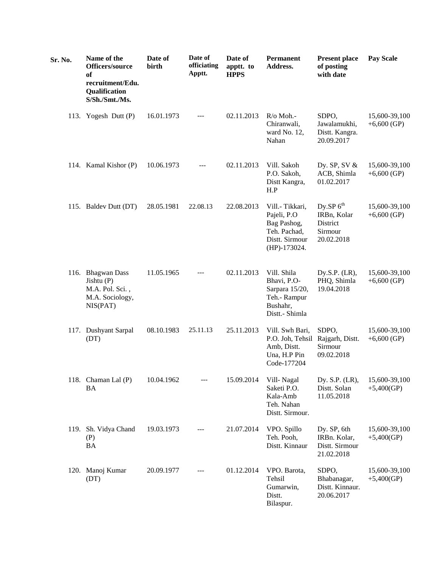| Sr. No. | Name of the<br>Officers/source<br>of<br>recruitment/Edu.<br>Qualification<br>S/Sh./Smt./Ms. | Date of<br>birth | Date of<br>officiating<br>Apptt. | Date of<br>apptt. to<br><b>HPPS</b> | <b>Permanent</b><br>Address.                                                                    | <b>Present place</b><br>of posting<br>with date                 | <b>Pay Scale</b>               |
|---------|---------------------------------------------------------------------------------------------|------------------|----------------------------------|-------------------------------------|-------------------------------------------------------------------------------------------------|-----------------------------------------------------------------|--------------------------------|
|         | 113. Yogesh Dutt (P)                                                                        | 16.01.1973       | $---$                            | 02.11.2013                          | R/o Moh.-<br>Chiranwali,<br>ward No. 12,<br>Nahan                                               | SDPO,<br>Jawalamukhi,<br>Distt. Kangra.<br>20.09.2017           | 15,600-39,100<br>$+6,600$ (GP) |
|         | 114. Kamal Kishor (P)                                                                       | 10.06.1973       | ---                              | 02.11.2013                          | Vill. Sakoh<br>P.O. Sakoh,<br>Distt Kangra,<br>H.P                                              | Dy. SP, SV $&$<br>ACB, Shimla<br>01.02.2017                     | 15,600-39,100<br>$+6,600$ (GP) |
|         | 115. Baldev Dutt (DT)                                                                       | 28.05.1981       | 22.08.13                         | 22.08.2013                          | Vill.- Tikkari,<br>Pajeli, P.O<br>Bag Pashog,<br>Teh. Pachad,<br>Distt. Sirmour<br>(HP)-173024. | Dy.SP $6th$<br>IRBn, Kolar<br>District<br>Sirmour<br>20.02.2018 | 15,600-39,100<br>$+6,600$ (GP) |
|         | 116. Bhagwan Dass<br>Jishtu $(P)$<br>M.A. Pol. Sci.,<br>M.A. Sociology,<br>NIS(PAT)         | 11.05.1965       |                                  | 02.11.2013                          | Vill. Shila<br>Bhavi, P.O-<br>Sarpara 15/20,<br>Teh.- Rampur<br>Bushahr,<br>Distt.- Shimla      | Dy.S.P. $(LR)$ ,<br>PHQ, Shimla<br>19.04.2018                   | 15,600-39,100<br>$+6,600$ (GP) |
|         | 117. Dushyant Sarpal<br>(DT)                                                                | 08.10.1983       | 25.11.13                         | 25.11.2013                          | Vill. Swh Bari,<br>P.O. Joh, Tehsil<br>Amb, Distt.<br>Una, H.P Pin<br>Code-177204               | SDPO,<br>Rajgarh, Distt.<br>Sirmour<br>09.02.2018               | 15,600-39,100<br>$+6,600$ (GP) |
|         | 118. Chaman Lal (P)<br><b>BA</b>                                                            | 10.04.1962       |                                  | 15.09.2014                          | Vill-Nagal<br>Saketi P.O.<br>Kala-Amb<br>Teh. Nahan<br>Distt. Sirmour.                          | Dy. S.P. (LR),<br>Distt. Solan<br>11.05.2018                    | 15,600-39,100<br>$+5,400(GP)$  |
|         | 119. Sh. Vidya Chand<br>(P)<br><b>BA</b>                                                    | 19.03.1973       | ---                              | 21.07.2014                          | VPO. Spillo<br>Teh. Pooh,<br>Distt. Kinnaur                                                     | Dy. SP, 6th<br>IRBn. Kolar,<br>Distt. Sirmour<br>21.02.2018     | 15,600-39,100<br>$+5,400(GP)$  |
|         | 120. Manoj Kumar<br>(DT)                                                                    | 20.09.1977       |                                  | 01.12.2014                          | VPO. Barota,<br>Tehsil<br>Gumarwin,<br>Distt.<br>Bilaspur.                                      | SDPO,<br>Bhabanagar,<br>Distt. Kinnaur.<br>20.06.2017           | 15,600-39,100<br>$+5,400(GP)$  |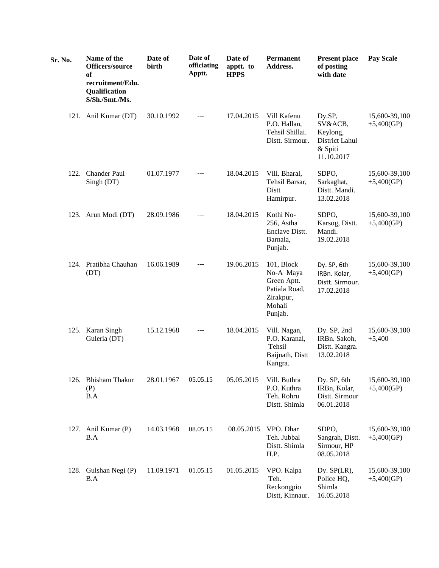| Sr. No. | Name of the<br>Officers/source<br>of<br>recruitment/Edu.<br>Qualification<br>S/Sh./Smt./Ms. | Date of<br>birth | Date of<br>officiating<br>Apptt. | Date of<br>apptt. to<br><b>HPPS</b> | <b>Permanent</b><br>Address.                                                              | <b>Present place</b><br>of posting<br>with date                          | <b>Pay Scale</b>              |
|---------|---------------------------------------------------------------------------------------------|------------------|----------------------------------|-------------------------------------|-------------------------------------------------------------------------------------------|--------------------------------------------------------------------------|-------------------------------|
|         | 121. Anil Kumar (DT)                                                                        | 30.10.1992       | $---$                            | 17.04.2015                          | Vill Kafenu<br>P.O. Hallan,<br>Tehsil Shillai.<br>Distt. Sirmour.                         | Dy.SP,<br>SV&ACB,<br>Keylong,<br>District Lahul<br>& Spiti<br>11.10.2017 | 15,600-39,100<br>$+5,400(GP)$ |
|         | 122. Chander Paul<br>Singh (DT)                                                             | 01.07.1977       |                                  | 18.04.2015                          | Vill. Bharal,<br>Tehsil Barsar,<br>Distt<br>Hamirpur.                                     | SDPO,<br>Sarkaghat,<br>Distt. Mandi.<br>13.02.2018                       | 15,600-39,100<br>$+5,400(GP)$ |
|         | 123. Arun Modi (DT)                                                                         | 28.09.1986       |                                  | 18.04.2015                          | Kothi No-<br>256, Astha<br>Enclave Distt.<br>Barnala,<br>Punjab.                          | SDPO,<br>Karsog, Distt.<br>Mandi.<br>19.02.2018                          | 15,600-39,100<br>$+5,400(GP)$ |
|         | 124. Pratibha Chauhan<br>(DT)                                                               | 16.06.1989       |                                  | 19.06.2015                          | 101, Block<br>No-A Maya<br>Green Aptt.<br>Patiala Road,<br>Zirakpur,<br>Mohali<br>Punjab. | Dy. SP, 6th<br>IRBn. Kolar,<br>Distt. Sirmour.<br>17.02.2018             | 15,600-39,100<br>$+5,400(GP)$ |
|         | 125. Karan Singh<br>Guleria (DT)                                                            | 15.12.1968       | $---$                            | 18.04.2015                          | Vill. Nagan,<br>P.O. Karanal,<br>Tehsil<br>Baijnath, Distt<br>Kangra.                     | Dy. SP, 2nd<br>IRBn. Sakoh,<br>Distt. Kangra.<br>13.02.2018              | 15,600-39,100<br>$+5,400$     |
|         | 126. Bhisham Thakur<br>(P)<br>B.A                                                           | 28.01.1967       | 05.05.15                         | 05.05.2015                          | Vill. Buthra<br>P.O. Kuthra<br>Teh. Rohru<br>Distt. Shimla                                | Dy. SP, 6th<br>IRBn, Kolar,<br>Distt. Sirmour<br>06.01.2018              | 15,600-39,100<br>$+5,400(GP)$ |
|         | 127. Anil Kumar (P)<br>B.A                                                                  | 14.03.1968       | 08.05.15                         | 08.05.2015                          | VPO. Dhar<br>Teh. Jubbal<br>Distt. Shimla<br>H.P.                                         | SDPO,<br>Sangrah, Distt.<br>Sirmour, HP<br>08.05.2018                    | 15,600-39,100<br>$+5,400(GP)$ |
|         | 128. Gulshan Negi (P)<br>B.A                                                                | 11.09.1971       | 01.05.15                         | 01.05.2015                          | VPO. Kalpa<br>Teh.<br>Reckongpio<br>Distt, Kinnaur.                                       | Dy. SP(LR),<br>Police HQ,<br>Shimla<br>16.05.2018                        | 15,600-39,100<br>$+5,400(GP)$ |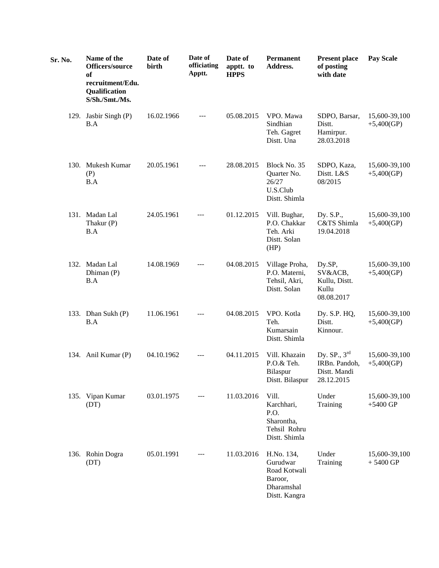| Sr. No. | Name of the<br>Officers/source<br>of<br>recruitment/Edu.<br>Qualification<br>S/Sh./Smt./Ms. | Date of<br>birth | Date of<br>officiating<br>Apptt. | Date of<br>apptt. to<br><b>HPPS</b> | <b>Permanent</b><br>Address.                                                     | <b>Present place</b><br>of posting<br>with date                  | <b>Pay Scale</b>              |
|---------|---------------------------------------------------------------------------------------------|------------------|----------------------------------|-------------------------------------|----------------------------------------------------------------------------------|------------------------------------------------------------------|-------------------------------|
|         | 129. Jasbir Singh (P)<br>B.A                                                                | 16.02.1966       | $---$                            | 05.08.2015                          | VPO. Mawa<br>Sindhian<br>Teh. Gagret<br>Distt. Una                               | SDPO, Barsar,<br>Distt.<br>Hamirpur.<br>28.03.2018               | 15,600-39,100<br>$+5,400(GP)$ |
|         | 130. Mukesh Kumar<br>(P)<br>B.A                                                             | 20.05.1961       |                                  | 28.08.2015                          | Block No. 35<br>Quarter No.<br>26/27<br>U.S.Club<br>Distt. Shimla                | SDPO, Kaza,<br>Distt. L&S<br>08/2015                             | 15,600-39,100<br>$+5,400(GP)$ |
|         | 131. Madan Lal<br>Thakur (P)<br>B.A                                                         | 24.05.1961       |                                  | 01.12.2015                          | Vill. Bughar,<br>P.O. Chakkar<br>Teh. Arki<br>Distt. Solan<br>(HP)               | Dy. S.P.,<br>C&TS Shimla<br>19.04.2018                           | 15,600-39,100<br>$+5,400(GP)$ |
|         | 132. Madan Lal<br>Dhiman (P)<br>B.A                                                         | 14.08.1969       | $---$                            | 04.08.2015                          | Village Proha,<br>P.O. Materni,<br>Tehsil, Akri,<br>Distt. Solan                 | Dy.SP,<br>SV&ACB,<br>Kullu, Distt.<br>Kullu<br>08.08.2017        | 15,600-39,100<br>$+5,400(GP)$ |
|         | 133. Dhan Sukh (P)<br>B.A                                                                   | 11.06.1961       |                                  | 04.08.2015                          | VPO. Kotla<br>Teh.<br>Kumarsain<br>Distt. Shimla                                 | Dy. S.P. HQ,<br>Distt.<br>Kinnour.                               | 15,600-39,100<br>$+5,400(GP)$ |
|         | 134. Anil Kumar (P)                                                                         | 04.10.1962       | $---$                            | 04.11.2015                          | Vill. Khazain<br>P.O.& Teh.<br>Bilaspur<br>Distt. Bilaspur                       | Dy. $SP., 3^{rd}$<br>IRBn. Pandoh,<br>Distt. Mandi<br>28.12.2015 | 15,600-39,100<br>$+5,400(GP)$ |
|         | 135. Vipan Kumar<br>(DT)                                                                    | 03.01.1975       |                                  | 11.03.2016                          | Vill.<br>Karchhari,<br>P.O.<br>Sharontha,<br>Tehsil Rohru<br>Distt. Shimla       | Under<br>Training                                                | 15,600-39,100<br>$+5400$ GP   |
|         | 136. Rohin Dogra<br>(DT)                                                                    | 05.01.1991       |                                  | 11.03.2016                          | H.No. 134,<br>Gurudwar<br>Road Kotwali<br>Baroor,<br>Dharamshal<br>Distt. Kangra | Under<br>Training                                                | 15,600-39,100<br>$+5400$ GP   |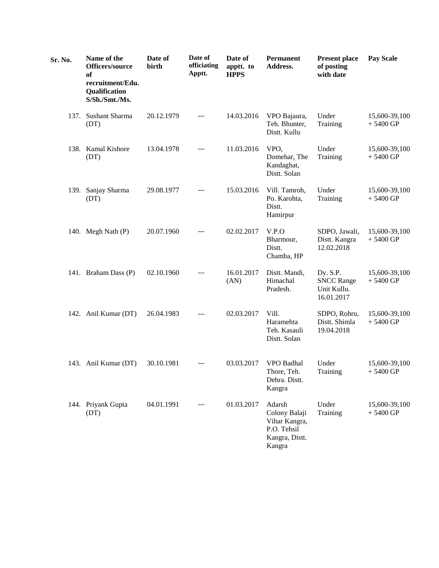| Sr. No. | Name of the<br>Officers/source<br>of<br>recruitment/Edu.<br>Qualification<br>S/Sh./Smt./Ms. | Date of<br>birth | Date of<br>officiating<br>Apptt. | Date of<br>apptt. to<br><b>HPPS</b> | <b>Permanent</b><br>Address.                                                        | <b>Present place</b><br>of posting<br>with date            | <b>Pay Scale</b>            |
|---------|---------------------------------------------------------------------------------------------|------------------|----------------------------------|-------------------------------------|-------------------------------------------------------------------------------------|------------------------------------------------------------|-----------------------------|
|         | 137. Sushant Sharma<br>(DT)                                                                 | 20.12.1979       | ---                              | 14.03.2016                          | VPO Bajaura,<br>Teh. Bhunter,<br>Distt. Kullu                                       | Under<br>Training                                          | 15,600-39,100<br>$+5400$ GP |
|         | 138. Kamal Kishore<br>(DT)                                                                  | 13.04.1978       |                                  | 11.03.2016                          | VPO,<br>Domehar, The<br>Kandaghat,<br>Distt. Solan                                  | Under<br>Training                                          | 15,600-39,100<br>$+5400$ GP |
|         | 139. Sanjay Sharma<br>(DT)                                                                  | 29.08.1977       |                                  | 15.03.2016                          | Vill. Tamroh,<br>Po. Karohta,<br>Distt.<br>Hamirpur                                 | Under<br>Training                                          | 15,600-39,100<br>$+5400$ GP |
|         | 140. Megh Nath (P)                                                                          | 20.07.1960       | $---$                            | 02.02.2017                          | V.P.O<br>Bharmour,<br>Distt.<br>Chamba, HP                                          | SDPO, Jawali,<br>Distt. Kangra<br>12.02.2018               | 15,600-39,100<br>$+5400$ GP |
|         | 141. Braham Dass (P)                                                                        | 02.10.1960       | ---                              | 16.01.2017<br>(AN)                  | Distt. Mandi,<br>Himachal<br>Pradesh.                                               | Dy. S.P.<br><b>SNCC Range</b><br>Unit Kullu.<br>16.01.2017 | 15,600-39,100<br>$+5400$ GP |
|         | 142. Anil Kumar (DT)                                                                        | 26.04.1983       | ---                              | 02.03.2017                          | Vill.<br>Haramehta<br>Teh. Kasauli<br>Distt. Solan                                  | SDPO, Rohru,<br>Distt. Shimla<br>19.04.2018                | 15,600-39,100<br>$+5400$ GP |
|         | 143. Anil Kumar (DT)                                                                        | 30.10.1981       |                                  | 03.03.2017                          | VPO Badhal<br>Thore, Teh.<br>Dehra. Distt.<br>Kangra                                | Under<br>Training                                          | 15,600-39,100<br>$+5400$ GP |
|         | 144. Priyank Gupta<br>(DT)                                                                  | 04.01.1991       | ---                              | 01.03.2017                          | Adarsh<br>Colony Balaji<br>Vihar Kangra,<br>P.O. Tehsil<br>Kangra, Distt.<br>Kangra | Under<br>Training                                          | 15,600-39,100<br>$+5400$ GP |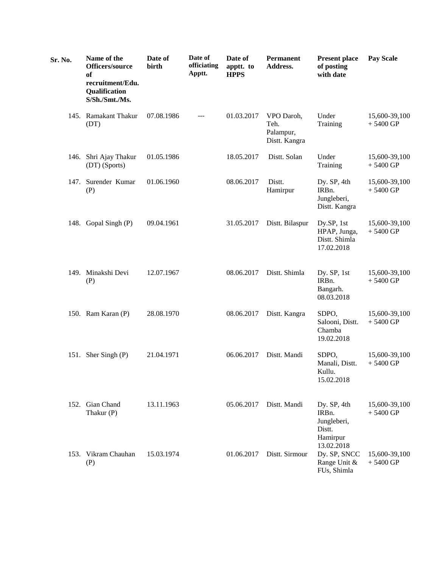| Sr. No. | Name of the<br>Officers/source<br>of<br>recruitment/Edu.<br><b>Qualification</b><br>S/Sh./Smt./Ms. | Date of<br>birth | Date of<br>officiating<br>Apptt. | Date of<br>apptt. to<br><b>HPPS</b> | Permanent<br>Address.                            | <b>Present place</b><br>of posting<br>with date                         | <b>Pay Scale</b>            |
|---------|----------------------------------------------------------------------------------------------------|------------------|----------------------------------|-------------------------------------|--------------------------------------------------|-------------------------------------------------------------------------|-----------------------------|
|         | 145. Ramakant Thakur<br>(DT)                                                                       | 07.08.1986       | ---                              | 01.03.2017                          | VPO Daroh,<br>Teh.<br>Palampur,<br>Distt. Kangra | Under<br>Training                                                       | 15,600-39,100<br>$+5400$ GP |
|         | 146. Shri Ajay Thakur<br>(DT) (Sports)                                                             | 01.05.1986       |                                  | 18.05.2017                          | Distt. Solan                                     | Under<br>Training                                                       | 15,600-39,100<br>$+5400$ GP |
|         | 147. Surender Kumar<br>(P)                                                                         | 01.06.1960       |                                  | 08.06.2017                          | Distt.<br>Hamirpur                               | Dy. SP, 4th<br>IRBn.<br>Jungleberi,<br>Distt. Kangra                    | 15,600-39,100<br>$+5400$ GP |
|         | 148. Gopal Singh (P)                                                                               | 09.04.1961       |                                  | 31.05.2017                          | Distt. Bilaspur                                  | Dy.SP, 1st<br>HPAP, Junga,<br>Distt. Shimla<br>17.02.2018               | 15,600-39,100<br>$+5400$ GP |
|         | 149. Minakshi Devi<br>(P)                                                                          | 12.07.1967       |                                  | 08.06.2017                          | Distt. Shimla                                    | Dy. SP, 1st<br>IRBn.<br>Bangarh.<br>08.03.2018                          | 15,600-39,100<br>$+5400$ GP |
|         | 150. Ram Karan (P)                                                                                 | 28.08.1970       |                                  | 08.06.2017                          | Distt. Kangra                                    | SDPO,<br>Salooni, Distt.<br>Chamba<br>19.02.2018                        | 15,600-39,100<br>$+5400$ GP |
|         | 151. Sher Singh (P)                                                                                | 21.04.1971       |                                  | 06.06.2017                          | Distt. Mandi                                     | SDPO,<br>Manali, Distt.<br>Kullu.<br>15.02.2018                         | 15,600-39,100<br>$+5400$ GP |
|         | 152. Gian Chand<br>Thakur (P)                                                                      | 13.11.1963       |                                  | 05.06.2017                          | Distt. Mandi                                     | Dy. SP, 4th<br>IRBn.<br>Jungleberi,<br>Distt.<br>Hamirpur<br>13.02.2018 | 15,600-39,100<br>$+5400$ GP |
|         | 153. Vikram Chauhan<br>(P)                                                                         | 15.03.1974       |                                  | 01.06.2017                          | Distt. Sirmour                                   | Dy. SP, SNCC<br>Range Unit &<br>FUs, Shimla                             | 15,600-39,100<br>$+5400$ GP |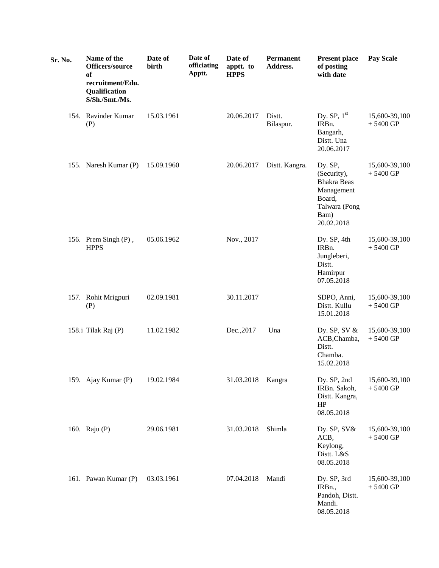| Sr. No. | Name of the<br>Officers/source<br>of<br>recruitment/Edu.<br>Qualification<br>S/Sh./Smt./Ms. | Date of<br>birth | Date of<br>officiating<br>Apptt. | Date of<br>apptt. to<br><b>HPPS</b> | Permanent<br>Address. | <b>Present place</b><br>of posting<br>with date                                                             | <b>Pay Scale</b>            |
|---------|---------------------------------------------------------------------------------------------|------------------|----------------------------------|-------------------------------------|-----------------------|-------------------------------------------------------------------------------------------------------------|-----------------------------|
|         | 154. Ravinder Kumar<br>(P)                                                                  | 15.03.1961       |                                  | 20.06.2017                          | Distt.<br>Bilaspur.   | Dy. $SP$ , $1st$<br>IRBn.<br>Bangarh,<br>Distt. Una<br>20.06.2017                                           | 15,600-39,100<br>$+5400$ GP |
|         | 155. Naresh Kumar (P)                                                                       | 15.09.1960       |                                  | 20.06.2017                          | Distt. Kangra.        | Dy. SP,<br>(Security),<br><b>Bhakra Beas</b><br>Management<br>Board,<br>Talwara (Pong<br>Bam)<br>20.02.2018 | 15,600-39,100<br>$+5400$ GP |
|         | 156. Prem Singh (P),<br><b>HPPS</b>                                                         | 05.06.1962       |                                  | Nov., 2017                          |                       | Dy. SP, 4th<br>IRB <sub>n</sub> .<br>Jungleberi,<br>Distt.<br>Hamirpur<br>07.05.2018                        | 15,600-39,100<br>$+5400$ GP |
|         | 157. Rohit Mrigpuri<br>(P)                                                                  | 02.09.1981       |                                  | 30.11.2017                          |                       | SDPO, Anni,<br>Distt. Kullu<br>15.01.2018                                                                   | 15,600-39,100<br>$+5400$ GP |
|         | 158.i Tilak Raj (P)                                                                         | 11.02.1982       |                                  | Dec., 2017                          | Una                   | Dy. SP, SV $\&$<br>ACB, Chamba,<br>Distt.<br>Chamba.<br>15.02.2018                                          | 15,600-39,100<br>$+5400$ GP |
|         | 159. Ajay Kumar (P)                                                                         | 19.02.1984       |                                  | 31.03.2018                          | Kangra                | Dy. SP, 2nd<br>IRBn. Sakoh,<br>Distt. Kangra,<br>HP<br>08.05.2018                                           | 15,600-39,100<br>$+5400$ GP |
|         | 160. Raju (P)                                                                               | 29.06.1981       |                                  | 31.03.2018                          | Shimla                | Dy. SP, SV&<br>ACB,<br>Keylong,<br>Distt. L&S<br>08.05.2018                                                 | 15,600-39,100<br>$+5400$ GP |
|         | 161. Pawan Kumar (P)                                                                        | 03.03.1961       |                                  | 07.04.2018                          | Mandi                 | Dy. SP, 3rd<br>IRB <sub>n.</sub> ,<br>Pandoh, Distt.<br>Mandi.<br>08.05.2018                                | 15,600-39,100<br>$+5400$ GP |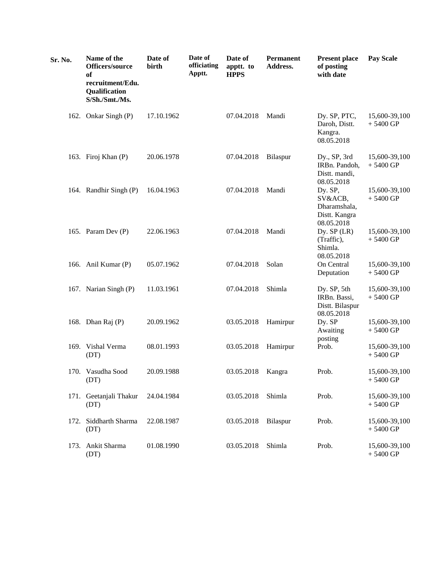| Sr. No. | Name of the<br>Officers/source<br>of<br>recruitment/Edu.<br><b>Qualification</b><br>S/Sh./Smt./Ms. | Date of<br>birth | Date of<br>officiating<br>Apptt. | Date of<br>apptt. to<br><b>HPPS</b> | Permanent<br>Address. | <b>Present place</b><br>of posting<br>with date                   | <b>Pay Scale</b>            |
|---------|----------------------------------------------------------------------------------------------------|------------------|----------------------------------|-------------------------------------|-----------------------|-------------------------------------------------------------------|-----------------------------|
|         | 162. Onkar Singh (P)                                                                               | 17.10.1962       |                                  | 07.04.2018                          | Mandi                 | Dy. SP, PTC,<br>Daroh, Distt.<br>Kangra.<br>08.05.2018            | 15,600-39,100<br>$+5400$ GP |
|         | 163. Firoj Khan (P)                                                                                | 20.06.1978       |                                  | 07.04.2018                          | Bilaspur              | Dy., SP, 3rd<br>IRBn. Pandoh,<br>Distt. mandi,<br>08.05.2018      | 15,600-39,100<br>$+5400$ GP |
|         | 164. Randhir Singh (P)                                                                             | 16.04.1963       |                                  | 07.04.2018                          | Mandi                 | Dy. SP,<br>SV&ACB,<br>Dharamshala,<br>Distt. Kangra<br>08.05.2018 | 15,600-39,100<br>$+5400$ GP |
|         | 165. Param Dev (P)                                                                                 | 22.06.1963       |                                  | 07.04.2018                          | Mandi                 | Dy. $SP$ (LR)<br>(Traffic),<br>Shimla.<br>08.05.2018              | 15,600-39,100<br>$+5400$ GP |
|         | 166. Anil Kumar (P)                                                                                | 05.07.1962       |                                  | 07.04.2018                          | Solan                 | On Central<br>Deputation                                          | 15,600-39,100<br>$+5400$ GP |
|         | 167. Narian Singh (P)                                                                              | 11.03.1961       |                                  | 07.04.2018                          | Shimla                | Dy. SP, 5th<br>IRBn. Bassi,<br>Distt. Bilaspur<br>08.05.2018      | 15,600-39,100<br>$+5400$ GP |
|         | 168. Dhan Raj (P)                                                                                  | 20.09.1962       |                                  | 03.05.2018                          | Hamirpur              | Dy. SP<br>Awaiting<br>posting                                     | 15,600-39,100<br>$+5400$ GP |
|         | 169. Vishal Verma<br>(DT)                                                                          | 08.01.1993       |                                  | 03.05.2018                          | Hamirpur              | Prob.                                                             | 15,600-39,100<br>$+5400$ GP |
|         | 170. Vasudha Sood<br>(DT)                                                                          | 20.09.1988       |                                  | 03.05.2018                          | Kangra                | Prob.                                                             | 15,600-39,100<br>$+5400$ GP |
|         | 171. Geetanjali Thakur<br>(DT)                                                                     | 24.04.1984       |                                  | 03.05.2018                          | Shimla                | Prob.                                                             | 15,600-39,100<br>$+5400$ GP |
|         | 172. Siddharth Sharma<br>(DT)                                                                      | 22.08.1987       |                                  | 03.05.2018                          | Bilaspur              | Prob.                                                             | 15,600-39,100<br>$+5400$ GP |
|         | 173. Ankit Sharma<br>(DT)                                                                          | 01.08.1990       |                                  | 03.05.2018                          | Shimla                | Prob.                                                             | 15,600-39,100<br>$+5400$ GP |